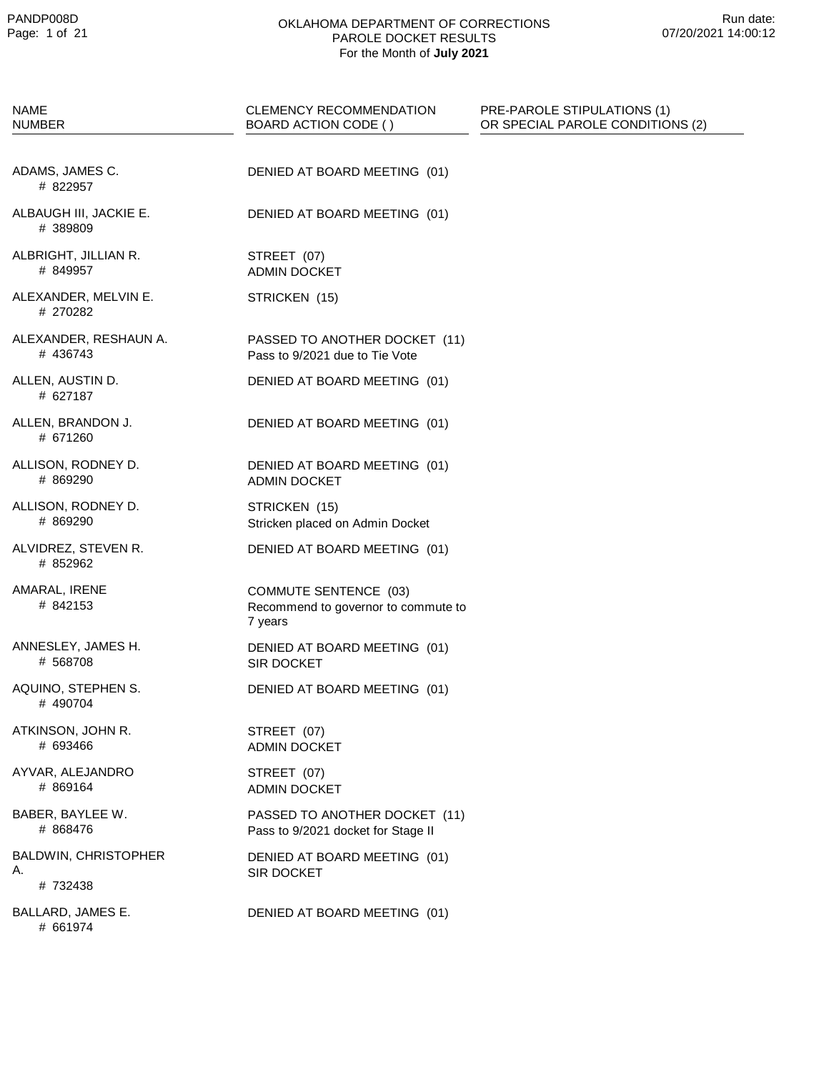| <b>NAME</b><br><b>NUMBER</b>           | CLEMENCY RECOMMENDATION<br>BOARD ACTION CODE ()                         | PRE-PAROLE STIPULATIONS (1)<br>OR SPECIAL PAROLE CONDITIONS (2) |
|----------------------------------------|-------------------------------------------------------------------------|-----------------------------------------------------------------|
|                                        |                                                                         |                                                                 |
| ADAMS, JAMES C.<br># 822957            | DENIED AT BOARD MEETING (01)                                            |                                                                 |
| ALBAUGH III, JACKIE E.<br># 389809     | DENIED AT BOARD MEETING (01)                                            |                                                                 |
| ALBRIGHT, JILLIAN R.<br># 849957       | STREET (07)<br><b>ADMIN DOCKET</b>                                      |                                                                 |
| ALEXANDER, MELVIN E.<br># 270282       | STRICKEN (15)                                                           |                                                                 |
| ALEXANDER, RESHAUN A.<br># 436743      | PASSED TO ANOTHER DOCKET (11)<br>Pass to 9/2021 due to Tie Vote         |                                                                 |
| ALLEN, AUSTIN D.<br># 627187           | DENIED AT BOARD MEETING (01)                                            |                                                                 |
| ALLEN, BRANDON J.<br># 671260          | DENIED AT BOARD MEETING (01)                                            |                                                                 |
| ALLISON, RODNEY D.<br># 869290         | DENIED AT BOARD MEETING (01)<br><b>ADMIN DOCKET</b>                     |                                                                 |
| ALLISON, RODNEY D.<br># 869290         | STRICKEN (15)<br>Stricken placed on Admin Docket                        |                                                                 |
| ALVIDREZ, STEVEN R.<br># 852962        | DENIED AT BOARD MEETING (01)                                            |                                                                 |
| AMARAL, IRENE<br># 842153              | COMMUTE SENTENCE (03)<br>Recommend to governor to commute to<br>7 years |                                                                 |
| ANNESLEY, JAMES H.<br># 568708         | DENIED AT BOARD MEETING (01)<br><b>SIR DOCKET</b>                       |                                                                 |
| AQUINO, STEPHEN S.<br># 490704         | DENIED AT BOARD MEETING (01)                                            |                                                                 |
| ATKINSON, JOHN R.<br># 693466          | STREET (07)<br><b>ADMIN DOCKET</b>                                      |                                                                 |
| AYVAR, ALEJANDRO<br># 869164           | STREET (07)<br><b>ADMIN DOCKET</b>                                      |                                                                 |
| BABER, BAYLEE W.<br># 868476           | PASSED TO ANOTHER DOCKET (11)<br>Pass to 9/2021 docket for Stage II     |                                                                 |
| BALDWIN, CHRISTOPHER<br>А.<br># 732438 | DENIED AT BOARD MEETING (01)<br>SIR DOCKET                              |                                                                 |
| BALLARD, JAMES E.<br># 661974          | DENIED AT BOARD MEETING (01)                                            |                                                                 |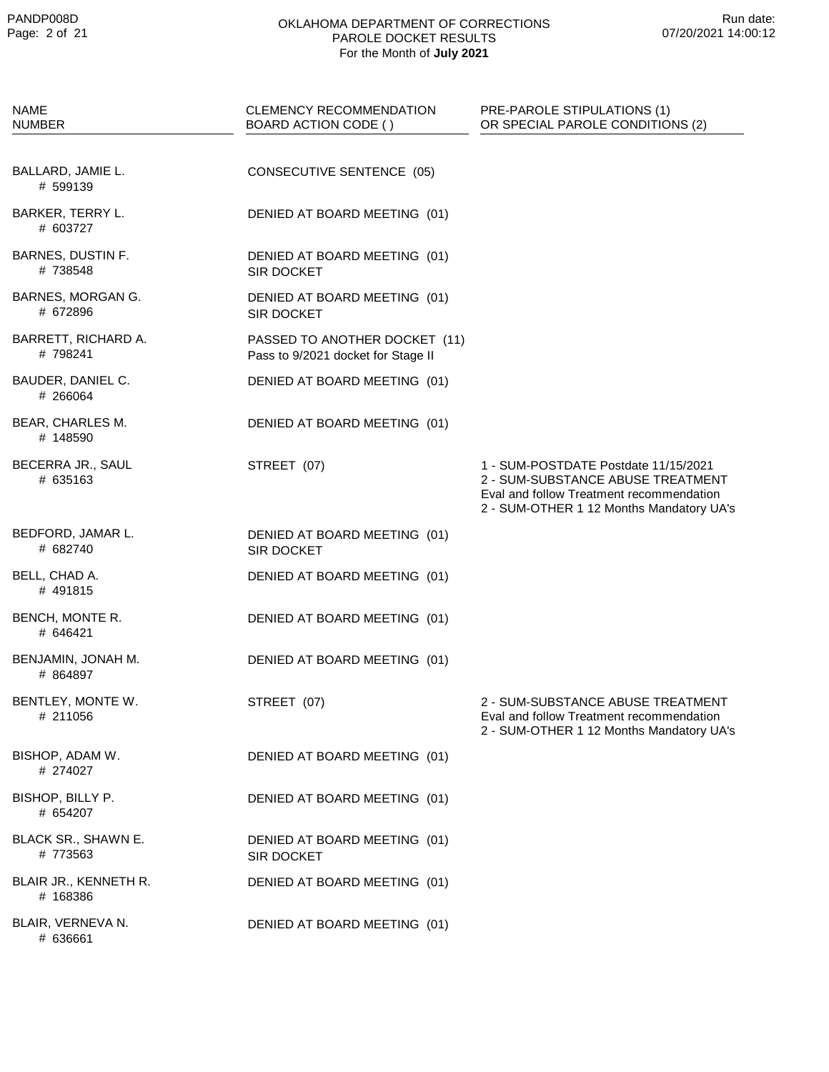| <b>NAME</b><br><b>NUMBER</b>      | <b>CLEMENCY RECOMMENDATION</b><br>BOARD ACTION CODE ()              | PRE-PAROLE STIPULATIONS (1)<br>OR SPECIAL PAROLE CONDITIONS (2)                                                                                                   |
|-----------------------------------|---------------------------------------------------------------------|-------------------------------------------------------------------------------------------------------------------------------------------------------------------|
| BALLARD, JAMIE L.<br># 599139     | CONSECUTIVE SENTENCE (05)                                           |                                                                                                                                                                   |
| BARKER, TERRY L.<br># 603727      | DENIED AT BOARD MEETING (01)                                        |                                                                                                                                                                   |
| BARNES, DUSTIN F.<br># 738548     | DENIED AT BOARD MEETING (01)<br>SIR DOCKET                          |                                                                                                                                                                   |
| BARNES, MORGAN G.<br># 672896     | DENIED AT BOARD MEETING (01)<br>SIR DOCKET                          |                                                                                                                                                                   |
| BARRETT, RICHARD A.<br>#798241    | PASSED TO ANOTHER DOCKET (11)<br>Pass to 9/2021 docket for Stage II |                                                                                                                                                                   |
| BAUDER, DANIEL C.<br># 266064     | DENIED AT BOARD MEETING (01)                                        |                                                                                                                                                                   |
| BEAR, CHARLES M.<br># 148590      | DENIED AT BOARD MEETING (01)                                        |                                                                                                                                                                   |
| BECERRA JR., SAUL<br># 635163     | STREET (07)                                                         | 1 - SUM-POSTDATE Postdate 11/15/2021<br>2 - SUM-SUBSTANCE ABUSE TREATMENT<br>Eval and follow Treatment recommendation<br>2 - SUM-OTHER 1 12 Months Mandatory UA's |
| BEDFORD, JAMAR L.<br># 682740     | DENIED AT BOARD MEETING (01)<br>SIR DOCKET                          |                                                                                                                                                                   |
| BELL, CHAD A.<br># 491815         | DENIED AT BOARD MEETING (01)                                        |                                                                                                                                                                   |
| BENCH, MONTE R.<br># 646421       | DENIED AT BOARD MEETING (01)                                        |                                                                                                                                                                   |
| BENJAMIN, JONAH M.<br># 864897    | DENIED AT BOARD MEETING (01)                                        |                                                                                                                                                                   |
| BENTLEY, MONTE W.<br># 211056     | STREET (07)                                                         | 2 - SUM-SUBSTANCE ABUSE TREATMENT<br>Eval and follow Treatment recommendation<br>2 - SUM-OTHER 1 12 Months Mandatory UA's                                         |
| BISHOP, ADAM W.<br># 274027       | DENIED AT BOARD MEETING (01)                                        |                                                                                                                                                                   |
| BISHOP, BILLY P.<br># 654207      | DENIED AT BOARD MEETING (01)                                        |                                                                                                                                                                   |
| BLACK SR., SHAWN E.<br># 773563   | DENIED AT BOARD MEETING (01)<br>SIR DOCKET                          |                                                                                                                                                                   |
| BLAIR JR., KENNETH R.<br># 168386 | DENIED AT BOARD MEETING (01)                                        |                                                                                                                                                                   |
| BLAIR, VERNEVA N.<br># 636661     | DENIED AT BOARD MEETING (01)                                        |                                                                                                                                                                   |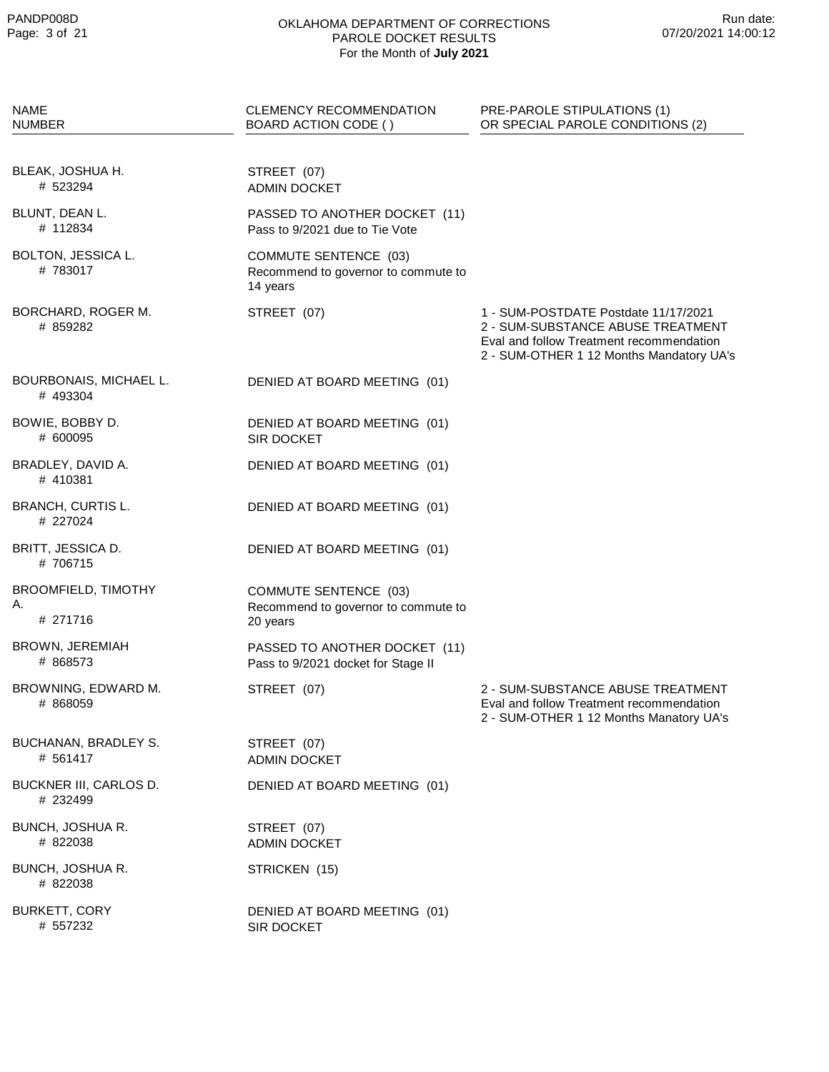| <b>NAME</b><br><b>NUMBER</b>                 | <b>CLEMENCY RECOMMENDATION</b><br>BOARD ACTION CODE ()                          | PRE-PAROLE STIPULATIONS (1)<br>OR SPECIAL PAROLE CONDITIONS (2)                                                                                                   |
|----------------------------------------------|---------------------------------------------------------------------------------|-------------------------------------------------------------------------------------------------------------------------------------------------------------------|
| BLEAK, JOSHUA H.<br># 523294                 | STREET (07)<br><b>ADMIN DOCKET</b>                                              |                                                                                                                                                                   |
| BLUNT, DEAN L.<br># 112834                   | PASSED TO ANOTHER DOCKET (11)<br>Pass to 9/2021 due to Tie Vote                 |                                                                                                                                                                   |
| BOLTON, JESSICA L.<br>#783017                | <b>COMMUTE SENTENCE (03)</b><br>Recommend to governor to commute to<br>14 years |                                                                                                                                                                   |
| BORCHARD, ROGER M.<br># 859282               | STREET (07)                                                                     | 1 - SUM-POSTDATE Postdate 11/17/2021<br>2 - SUM-SUBSTANCE ABUSE TREATMENT<br>Eval and follow Treatment recommendation<br>2 - SUM-OTHER 1 12 Months Mandatory UA's |
| BOURBONAIS, MICHAEL L.<br># 493304           | DENIED AT BOARD MEETING (01)                                                    |                                                                                                                                                                   |
| BOWIE, BOBBY D.<br># 600095                  | DENIED AT BOARD MEETING (01)<br><b>SIR DOCKET</b>                               |                                                                                                                                                                   |
| BRADLEY, DAVID A.<br># 410381                | DENIED AT BOARD MEETING (01)                                                    |                                                                                                                                                                   |
| <b>BRANCH, CURTIS L.</b><br># 227024         | DENIED AT BOARD MEETING (01)                                                    |                                                                                                                                                                   |
| BRITT, JESSICA D.<br># 706715                | DENIED AT BOARD MEETING (01)                                                    |                                                                                                                                                                   |
| <b>BROOMFIELD, TIMOTHY</b><br>А.<br># 271716 | COMMUTE SENTENCE (03)<br>Recommend to governor to commute to<br>20 years        |                                                                                                                                                                   |
| BROWN, JEREMIAH<br># 868573                  | PASSED TO ANOTHER DOCKET (11)<br>Pass to 9/2021 docket for Stage II             |                                                                                                                                                                   |
| BROWNING, EDWARD M.<br># 868059              | STREET (07)                                                                     | 2 - SUM-SUBSTANCE ABUSE TREATMENT<br>Eval and follow Treatment recommendation<br>2 - SUM-OTHER 1 12 Months Manatory UA's                                          |
| BUCHANAN, BRADLEY S.<br># 561417             | STREET (07)<br><b>ADMIN DOCKET</b>                                              |                                                                                                                                                                   |
| BUCKNER III, CARLOS D.<br># 232499           | DENIED AT BOARD MEETING (01)                                                    |                                                                                                                                                                   |
| BUNCH, JOSHUA R.<br># 822038                 | STREET (07)<br><b>ADMIN DOCKET</b>                                              |                                                                                                                                                                   |
| BUNCH, JOSHUA R.<br># 822038                 | STRICKEN (15)                                                                   |                                                                                                                                                                   |
| <b>BURKETT, CORY</b><br># 557232             | DENIED AT BOARD MEETING (01)<br>SIR DOCKET                                      |                                                                                                                                                                   |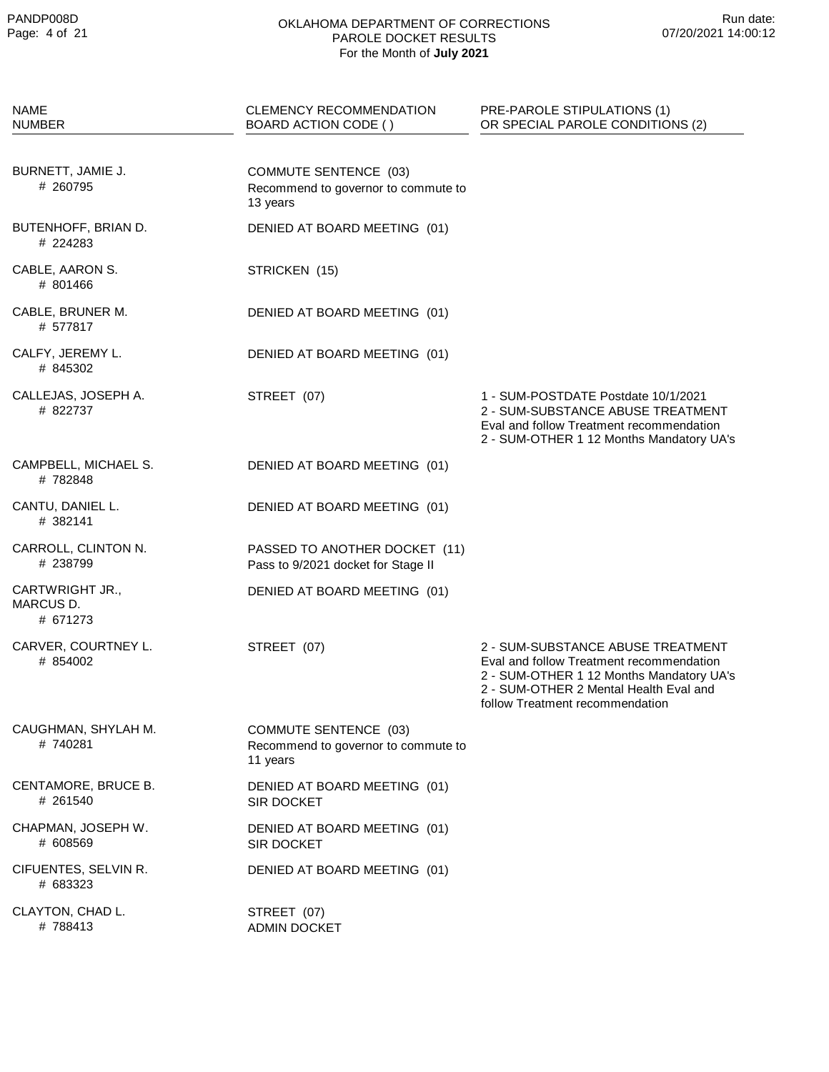| <b>NAME</b><br><b>NUMBER</b>             | <b>CLEMENCY RECOMMENDATION</b><br>BOARD ACTION CODE ()                          | PRE-PAROLE STIPULATIONS (1)<br>OR SPECIAL PAROLE CONDITIONS (2)                                                                                                                                        |
|------------------------------------------|---------------------------------------------------------------------------------|--------------------------------------------------------------------------------------------------------------------------------------------------------------------------------------------------------|
| BURNETT, JAMIE J.<br># 260795            | <b>COMMUTE SENTENCE (03)</b><br>Recommend to governor to commute to<br>13 years |                                                                                                                                                                                                        |
| BUTENHOFF, BRIAN D.<br># 224283          | DENIED AT BOARD MEETING (01)                                                    |                                                                                                                                                                                                        |
| CABLE, AARON S.<br># 801466              | STRICKEN (15)                                                                   |                                                                                                                                                                                                        |
| CABLE, BRUNER M.<br># 577817             | DENIED AT BOARD MEETING (01)                                                    |                                                                                                                                                                                                        |
| CALFY, JEREMY L.<br># 845302             | DENIED AT BOARD MEETING (01)                                                    |                                                                                                                                                                                                        |
| CALLEJAS, JOSEPH A.<br># 822737          | STREET (07)                                                                     | 1 - SUM-POSTDATE Postdate 10/1/2021<br>2 - SUM-SUBSTANCE ABUSE TREATMENT<br>Eval and follow Treatment recommendation<br>2 - SUM-OTHER 1 12 Months Mandatory UA's                                       |
| CAMPBELL, MICHAEL S.<br>#782848          | DENIED AT BOARD MEETING (01)                                                    |                                                                                                                                                                                                        |
| CANTU, DANIEL L.<br># 382141             | DENIED AT BOARD MEETING (01)                                                    |                                                                                                                                                                                                        |
| CARROLL, CLINTON N.<br># 238799          | PASSED TO ANOTHER DOCKET (11)<br>Pass to 9/2021 docket for Stage II             |                                                                                                                                                                                                        |
| CARTWRIGHT JR.,<br>MARCUS D.<br># 671273 | DENIED AT BOARD MEETING (01)                                                    |                                                                                                                                                                                                        |
| CARVER, COURTNEY L.<br># 854002          | STREET (07)                                                                     | 2 - SUM-SUBSTANCE ABUSE TREATMENT<br>Eval and follow Treatment recommendation<br>2 - SUM-OTHER 1 12 Months Mandatory UA's<br>2 - SUM-OTHER 2 Mental Health Eval and<br>follow Treatment recommendation |
| CAUGHMAN, SHYLAH M.<br>#740281           | <b>COMMUTE SENTENCE (03)</b><br>Recommend to governor to commute to<br>11 years |                                                                                                                                                                                                        |
| CENTAMORE, BRUCE B.<br># 261540          | DENIED AT BOARD MEETING (01)<br>SIR DOCKET                                      |                                                                                                                                                                                                        |
| CHAPMAN, JOSEPH W.<br># 608569           | DENIED AT BOARD MEETING (01)<br><b>SIR DOCKET</b>                               |                                                                                                                                                                                                        |
| CIFUENTES, SELVIN R.<br># 683323         | DENIED AT BOARD MEETING (01)                                                    |                                                                                                                                                                                                        |
| CLAYTON, CHAD L.<br># 788413             | STREET (07)<br><b>ADMIN DOCKET</b>                                              |                                                                                                                                                                                                        |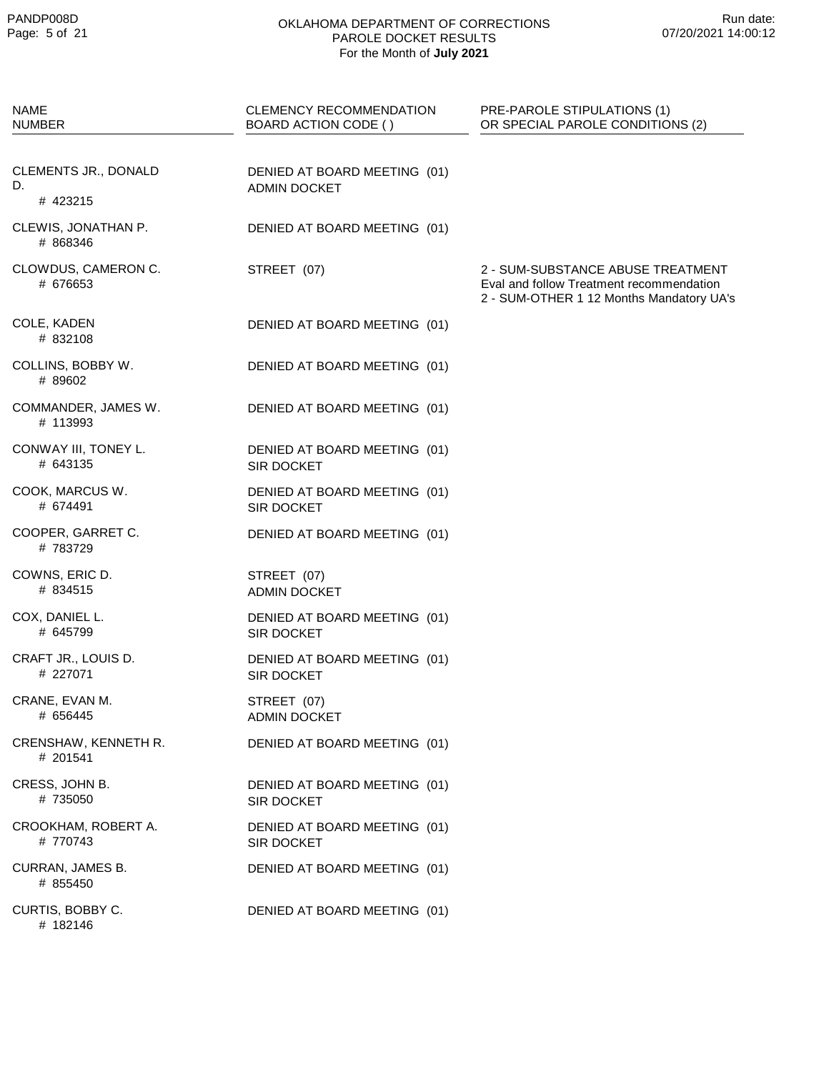| <b>NAME</b><br><b>NUMBER</b>           | CLEMENCY RECOMMENDATION<br>BOARD ACTION CODE ()     | PRE-PAROLE STIPULATIONS (1)<br>OR SPECIAL PAROLE CONDITIONS (2)                                                           |
|----------------------------------------|-----------------------------------------------------|---------------------------------------------------------------------------------------------------------------------------|
| CLEMENTS JR., DONALD<br>D.<br># 423215 | DENIED AT BOARD MEETING (01)<br><b>ADMIN DOCKET</b> |                                                                                                                           |
| CLEWIS, JONATHAN P.<br># 868346        | DENIED AT BOARD MEETING (01)                        |                                                                                                                           |
| CLOWDUS, CAMERON C.<br># 676653        | STREET (07)                                         | 2 - SUM-SUBSTANCE ABUSE TREATMENT<br>Eval and follow Treatment recommendation<br>2 - SUM-OTHER 1 12 Months Mandatory UA's |
| COLE, KADEN<br># 832108                | DENIED AT BOARD MEETING (01)                        |                                                                                                                           |
| COLLINS, BOBBY W.<br># 89602           | DENIED AT BOARD MEETING (01)                        |                                                                                                                           |
| COMMANDER, JAMES W.<br># 113993        | DENIED AT BOARD MEETING (01)                        |                                                                                                                           |
| CONWAY III, TONEY L.<br># 643135       | DENIED AT BOARD MEETING (01)<br>SIR DOCKET          |                                                                                                                           |
| COOK, MARCUS W.<br># 674491            | DENIED AT BOARD MEETING (01)<br>SIR DOCKET          |                                                                                                                           |
| COOPER, GARRET C.<br># 783729          | DENIED AT BOARD MEETING (01)                        |                                                                                                                           |
| COWNS, ERIC D.<br># 834515             | STREET (07)<br><b>ADMIN DOCKET</b>                  |                                                                                                                           |
| COX, DANIEL L.<br># 645799             | DENIED AT BOARD MEETING (01)<br>SIR DOCKET          |                                                                                                                           |
| CRAFT JR., LOUIS D.<br># 227071        | DENIED AT BOARD MEETING (01)<br><b>SIR DOCKET</b>   |                                                                                                                           |
| CRANE, EVAN M.<br># 656445             | STREET (07)<br><b>ADMIN DOCKET</b>                  |                                                                                                                           |
| CRENSHAW, KENNETH R.<br># 201541       | DENIED AT BOARD MEETING (01)                        |                                                                                                                           |
| CRESS, JOHN B.<br># 735050             | DENIED AT BOARD MEETING (01)<br>SIR DOCKET          |                                                                                                                           |
| CROOKHAM, ROBERT A.<br># 770743        | DENIED AT BOARD MEETING (01)<br>SIR DOCKET          |                                                                                                                           |
| CURRAN, JAMES B.<br># 855450           | DENIED AT BOARD MEETING (01)                        |                                                                                                                           |
| CURTIS, BOBBY C.<br># 182146           | DENIED AT BOARD MEETING (01)                        |                                                                                                                           |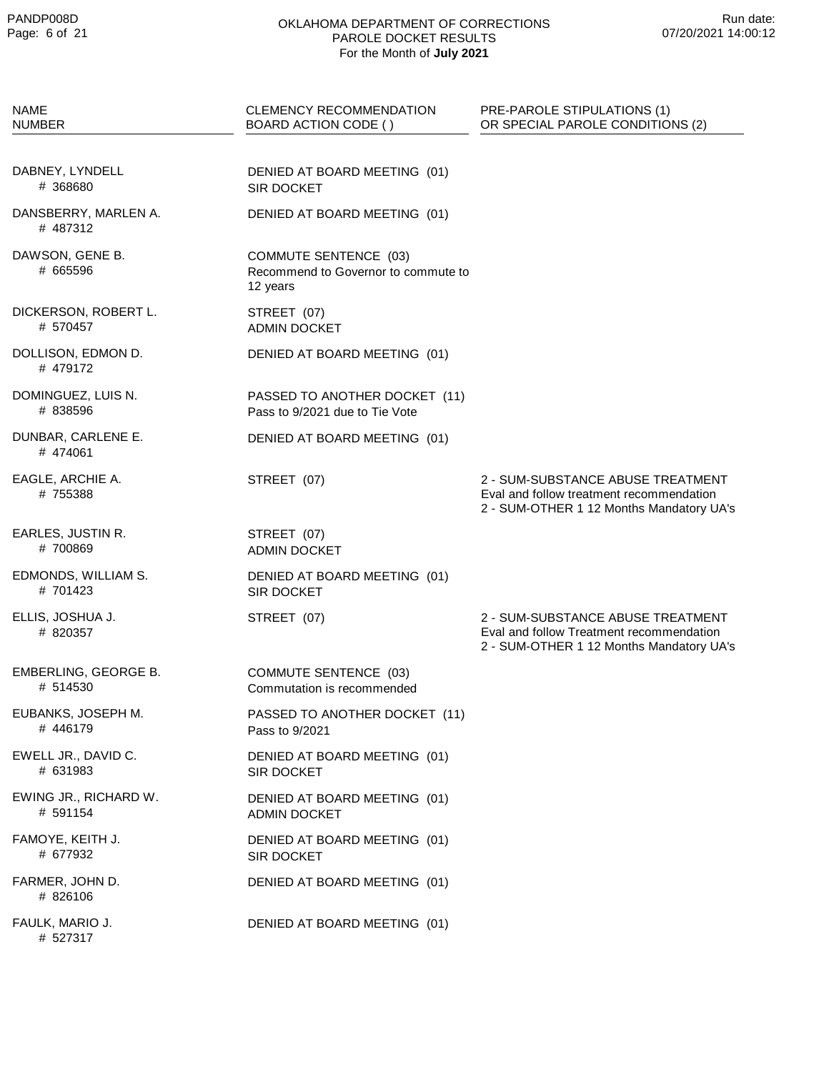| <b>NAME</b><br><b>NUMBER</b>      | <b>CLEMENCY RECOMMENDATION</b><br>BOARD ACTION CODE ()                          | PRE-PAROLE STIPULATIONS (1)<br>OR SPECIAL PAROLE CONDITIONS (2)                                                           |
|-----------------------------------|---------------------------------------------------------------------------------|---------------------------------------------------------------------------------------------------------------------------|
| DABNEY, LYNDELL<br># 368680       | DENIED AT BOARD MEETING (01)<br><b>SIR DOCKET</b>                               |                                                                                                                           |
| DANSBERRY, MARLEN A.<br># 487312  | DENIED AT BOARD MEETING (01)                                                    |                                                                                                                           |
| DAWSON, GENE B.<br># 665596       | <b>COMMUTE SENTENCE (03)</b><br>Recommend to Governor to commute to<br>12 years |                                                                                                                           |
| DICKERSON, ROBERT L.<br># 570457  | STREET (07)<br><b>ADMIN DOCKET</b>                                              |                                                                                                                           |
| DOLLISON, EDMON D.<br># 479172    | DENIED AT BOARD MEETING (01)                                                    |                                                                                                                           |
| DOMINGUEZ, LUIS N.<br># 838596    | PASSED TO ANOTHER DOCKET (11)<br>Pass to 9/2021 due to Tie Vote                 |                                                                                                                           |
| DUNBAR, CARLENE E.<br>#474061     | DENIED AT BOARD MEETING (01)                                                    |                                                                                                                           |
| EAGLE, ARCHIE A.<br>#755388       | STREET (07)                                                                     | 2 - SUM-SUBSTANCE ABUSE TREATMENT<br>Eval and follow treatment recommendation<br>2 - SUM-OTHER 1 12 Months Mandatory UA's |
| EARLES, JUSTIN R.<br>#700869      | STREET (07)<br><b>ADMIN DOCKET</b>                                              |                                                                                                                           |
| EDMONDS, WILLIAM S.<br># 701423   | DENIED AT BOARD MEETING (01)<br><b>SIR DOCKET</b>                               |                                                                                                                           |
| ELLIS, JOSHUA J.<br># 820357      | STREET (07)                                                                     | 2 - SUM-SUBSTANCE ABUSE TREATMENT<br>Eval and follow Treatment recommendation<br>2 - SUM-OTHER 1 12 Months Mandatory UA's |
| EMBERLING, GEORGE B.<br># 514530  | COMMUTE SENTENCE (03)<br>Commutation is recommended                             |                                                                                                                           |
| EUBANKS, JOSEPH M.<br># 446179    | PASSED TO ANOTHER DOCKET (11)<br>Pass to 9/2021                                 |                                                                                                                           |
| EWELL JR., DAVID C.<br># 631983   | DENIED AT BOARD MEETING (01)<br><b>SIR DOCKET</b>                               |                                                                                                                           |
| EWING JR., RICHARD W.<br># 591154 | DENIED AT BOARD MEETING (01)<br><b>ADMIN DOCKET</b>                             |                                                                                                                           |
| FAMOYE, KEITH J.<br># 677932      | DENIED AT BOARD MEETING (01)<br><b>SIR DOCKET</b>                               |                                                                                                                           |
| FARMER, JOHN D.<br># 826106       | DENIED AT BOARD MEETING (01)                                                    |                                                                                                                           |
| FAULK, MARIO J.<br># 527317       | DENIED AT BOARD MEETING (01)                                                    |                                                                                                                           |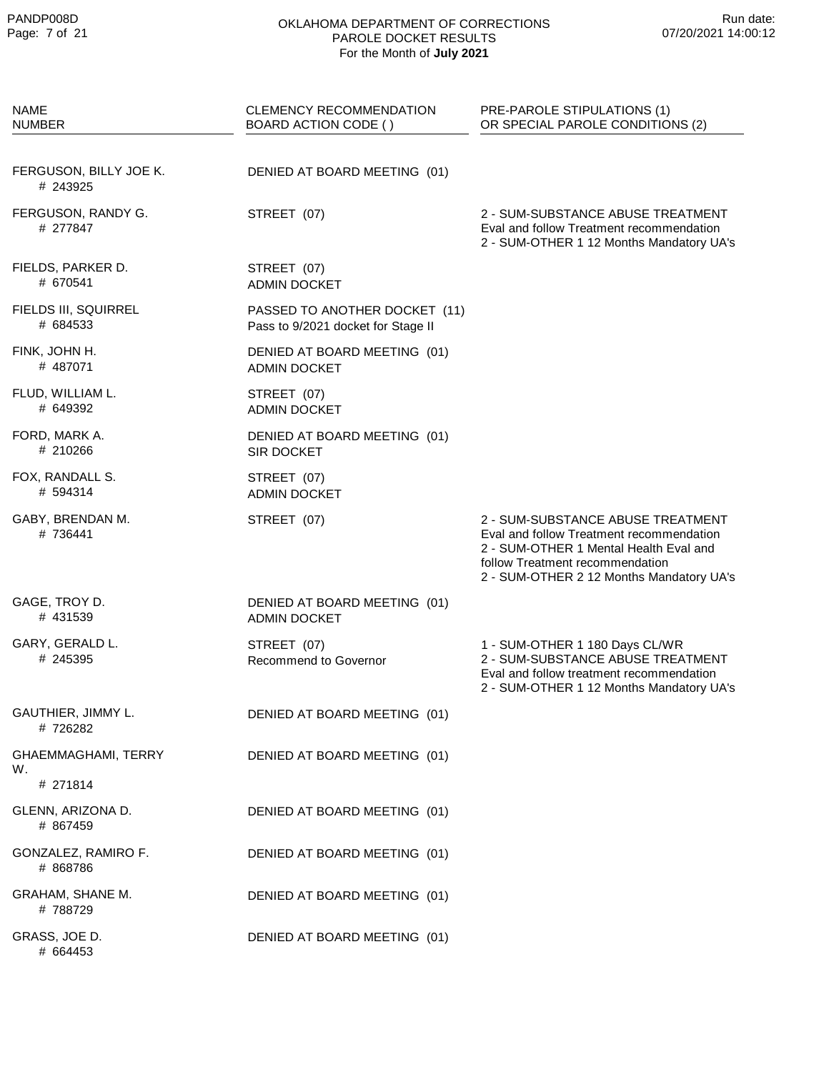| <b>NAME</b><br>NUMBER                 | CLEMENCY RECOMMENDATION<br>BOARD ACTION CODE ()                     | PRE-PAROLE STIPULATIONS (1)<br>OR SPECIAL PAROLE CONDITIONS (2)                                                                                                                                        |
|---------------------------------------|---------------------------------------------------------------------|--------------------------------------------------------------------------------------------------------------------------------------------------------------------------------------------------------|
| FERGUSON, BILLY JOE K.<br># 243925    | DENIED AT BOARD MEETING (01)                                        |                                                                                                                                                                                                        |
| FERGUSON, RANDY G.<br># 277847        | STREET (07)                                                         | 2 - SUM-SUBSTANCE ABUSE TREATMENT<br>Eval and follow Treatment recommendation<br>2 - SUM-OTHER 1 12 Months Mandatory UA's                                                                              |
| FIELDS, PARKER D.<br># 670541         | STREET (07)<br><b>ADMIN DOCKET</b>                                  |                                                                                                                                                                                                        |
| FIELDS III, SQUIRREL<br># 684533      | PASSED TO ANOTHER DOCKET (11)<br>Pass to 9/2021 docket for Stage II |                                                                                                                                                                                                        |
| FINK, JOHN H.<br>#487071              | DENIED AT BOARD MEETING (01)<br><b>ADMIN DOCKET</b>                 |                                                                                                                                                                                                        |
| FLUD, WILLIAM L.<br># 649392          | STREET (07)<br><b>ADMIN DOCKET</b>                                  |                                                                                                                                                                                                        |
| FORD, MARK A.<br># 210266             | DENIED AT BOARD MEETING (01)<br>SIR DOCKET                          |                                                                                                                                                                                                        |
| FOX, RANDALL S.<br># 594314           | STREET (07)<br><b>ADMIN DOCKET</b>                                  |                                                                                                                                                                                                        |
| GABY, BRENDAN M.<br># 736441          | STREET (07)                                                         | 2 - SUM-SUBSTANCE ABUSE TREATMENT<br>Eval and follow Treatment recommendation<br>2 - SUM-OTHER 1 Mental Health Eval and<br>follow Treatment recommendation<br>2 - SUM-OTHER 2 12 Months Mandatory UA's |
| GAGE, TROY D.<br># 431539             | DENIED AT BOARD MEETING (01)<br><b>ADMIN DOCKET</b>                 |                                                                                                                                                                                                        |
| GARY, GERALD L.<br># 245395           | STREET (07)<br>Recommend to Governor                                | 1 - SUM-OTHER 1 180 Days CL/WR<br>2 - SUM-SUBSTANCE ABUSE TREATMENT<br>Eval and follow treatment recommendation<br>2 - SUM-OTHER 1 12 Months Mandatory UA's                                            |
| GAUTHIER, JIMMY L.<br># 726282        | DENIED AT BOARD MEETING (01)                                        |                                                                                                                                                                                                        |
| GHAEMMAGHAMI, TERRY<br>W.<br># 271814 | DENIED AT BOARD MEETING (01)                                        |                                                                                                                                                                                                        |
| GLENN, ARIZONA D.<br># 867459         | DENIED AT BOARD MEETING (01)                                        |                                                                                                                                                                                                        |
| GONZALEZ, RAMIRO F.<br># 868786       | DENIED AT BOARD MEETING (01)                                        |                                                                                                                                                                                                        |
| GRAHAM, SHANE M.<br>#788729           | DENIED AT BOARD MEETING (01)                                        |                                                                                                                                                                                                        |
| GRASS, JOE D.<br># 664453             | DENIED AT BOARD MEETING (01)                                        |                                                                                                                                                                                                        |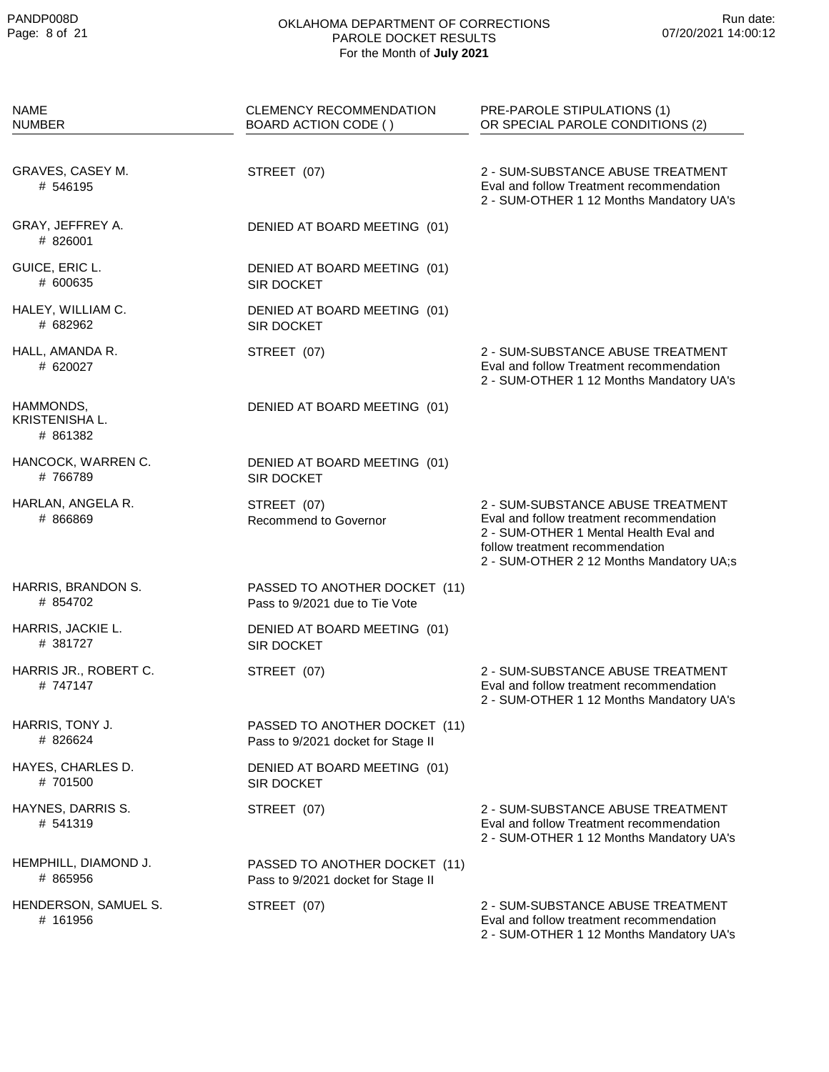| <b>NAME</b><br><b>NUMBER</b>                   | <b>CLEMENCY RECOMMENDATION</b><br>BOARD ACTION CODE ()              | PRE-PAROLE STIPULATIONS (1)<br>OR SPECIAL PAROLE CONDITIONS (2)                                                                                                                                        |
|------------------------------------------------|---------------------------------------------------------------------|--------------------------------------------------------------------------------------------------------------------------------------------------------------------------------------------------------|
| GRAVES, CASEY M.<br># 546195                   | STREET (07)                                                         | 2 - SUM-SUBSTANCE ABUSE TREATMENT<br>Eval and follow Treatment recommendation<br>2 - SUM-OTHER 1 12 Months Mandatory UA's                                                                              |
| GRAY, JEFFREY A.<br># 826001                   | DENIED AT BOARD MEETING (01)                                        |                                                                                                                                                                                                        |
| GUICE, ERIC L.<br># 600635                     | DENIED AT BOARD MEETING (01)<br>SIR DOCKET                          |                                                                                                                                                                                                        |
| HALEY, WILLIAM C.<br># 682962                  | DENIED AT BOARD MEETING (01)<br>SIR DOCKET                          |                                                                                                                                                                                                        |
| HALL, AMANDA R.<br># 620027                    | STREET (07)                                                         | 2 - SUM-SUBSTANCE ABUSE TREATMENT<br>Eval and follow Treatment recommendation<br>2 - SUM-OTHER 1 12 Months Mandatory UA's                                                                              |
| HAMMONDS,<br><b>KRISTENISHA L.</b><br># 861382 | DENIED AT BOARD MEETING (01)                                        |                                                                                                                                                                                                        |
| HANCOCK, WARREN C.<br>#766789                  | DENIED AT BOARD MEETING (01)<br>SIR DOCKET                          |                                                                                                                                                                                                        |
| HARLAN, ANGELA R.<br># 866869                  | STREET (07)<br>Recommend to Governor                                | 2 - SUM-SUBSTANCE ABUSE TREATMENT<br>Eval and follow treatment recommendation<br>2 - SUM-OTHER 1 Mental Health Eval and<br>follow treatment recommendation<br>2 - SUM-OTHER 2 12 Months Mandatory UA;s |
| HARRIS, BRANDON S.<br># 854702                 | PASSED TO ANOTHER DOCKET (11)<br>Pass to 9/2021 due to Tie Vote     |                                                                                                                                                                                                        |
| HARRIS, JACKIE L.<br># 381727                  | DENIED AT BOARD MEETING (01)<br>SIR DOCKET                          |                                                                                                                                                                                                        |
| HARRIS JR., ROBERT C.<br># 747147              | STREET (07)                                                         | 2 - SUM-SUBSTANCE ABUSE TREATMENT<br>Eval and follow treatment recommendation<br>2 - SUM-OTHER 1 12 Months Mandatory UA's                                                                              |
| HARRIS, TONY J.<br># 826624                    | PASSED TO ANOTHER DOCKET (11)<br>Pass to 9/2021 docket for Stage II |                                                                                                                                                                                                        |
| HAYES, CHARLES D.<br># 701500                  | DENIED AT BOARD MEETING (01)<br>SIR DOCKET                          |                                                                                                                                                                                                        |
| HAYNES, DARRIS S.<br># 541319                  | STREET (07)                                                         | 2 - SUM-SUBSTANCE ABUSE TREATMENT<br>Eval and follow Treatment recommendation<br>2 - SUM-OTHER 1 12 Months Mandatory UA's                                                                              |
| HEMPHILL, DIAMOND J.<br># 865956               | PASSED TO ANOTHER DOCKET (11)<br>Pass to 9/2021 docket for Stage II |                                                                                                                                                                                                        |
| HENDERSON, SAMUEL S.<br># 161956               | STREET (07)                                                         | 2 - SUM-SUBSTANCE ABUSE TREATMENT<br>Eval and follow treatment recommendation<br>2 - SUM-OTHER 1 12 Months Mandatory UA's                                                                              |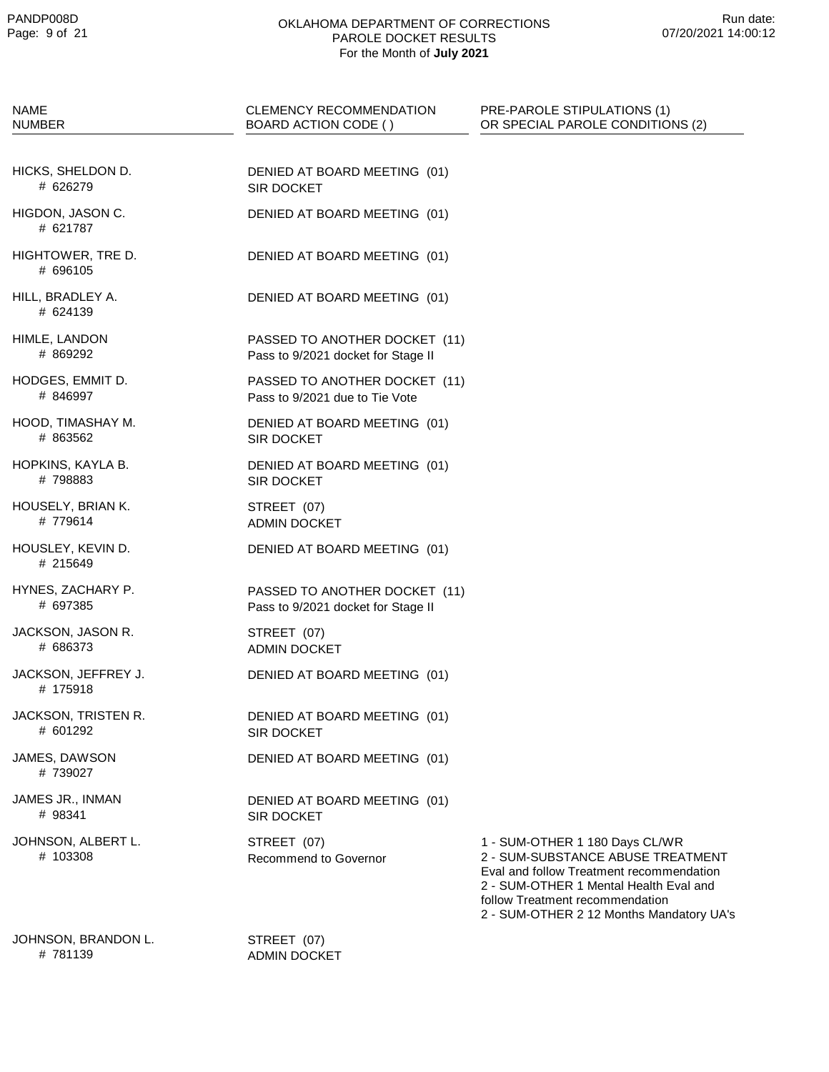| NAME<br>NUMBER                  | CLEMENCY RECOMMENDATION<br>BOARD ACTION CODE ()                     | PRE-PAROLE STIPULATIONS (1)<br>OR SPECIAL PAROLE CONDITIONS (2)                                                                                                                                                                          |
|---------------------------------|---------------------------------------------------------------------|------------------------------------------------------------------------------------------------------------------------------------------------------------------------------------------------------------------------------------------|
| HICKS, SHELDON D.<br># 626279   | DENIED AT BOARD MEETING (01)<br>SIR DOCKET                          |                                                                                                                                                                                                                                          |
| HIGDON, JASON C.<br># 621787    | DENIED AT BOARD MEETING (01)                                        |                                                                                                                                                                                                                                          |
| HIGHTOWER, TRE D.<br># 696105   | DENIED AT BOARD MEETING (01)                                        |                                                                                                                                                                                                                                          |
| HILL, BRADLEY A.<br># 624139    | DENIED AT BOARD MEETING (01)                                        |                                                                                                                                                                                                                                          |
| HIMLE, LANDON<br># 869292       | PASSED TO ANOTHER DOCKET (11)<br>Pass to 9/2021 docket for Stage II |                                                                                                                                                                                                                                          |
| HODGES, EMMIT D.<br># 846997    | PASSED TO ANOTHER DOCKET (11)<br>Pass to 9/2021 due to Tie Vote     |                                                                                                                                                                                                                                          |
| HOOD, TIMASHAY M.<br># 863562   | DENIED AT BOARD MEETING (01)<br><b>SIR DOCKET</b>                   |                                                                                                                                                                                                                                          |
| HOPKINS, KAYLA B.<br># 798883   | DENIED AT BOARD MEETING (01)<br><b>SIR DOCKET</b>                   |                                                                                                                                                                                                                                          |
| HOUSELY, BRIAN K.<br># 779614   | STREET (07)<br><b>ADMIN DOCKET</b>                                  |                                                                                                                                                                                                                                          |
| HOUSLEY, KEVIN D.<br># 215649   | DENIED AT BOARD MEETING (01)                                        |                                                                                                                                                                                                                                          |
| HYNES, ZACHARY P.<br># 697385   | PASSED TO ANOTHER DOCKET (11)<br>Pass to 9/2021 docket for Stage II |                                                                                                                                                                                                                                          |
| JACKSON, JASON R.<br># 686373   | STREET (07)<br><b>ADMIN DOCKET</b>                                  |                                                                                                                                                                                                                                          |
| JACKSON, JEFFREY J.<br># 175918 | DENIED AT BOARD MEETING (01)                                        |                                                                                                                                                                                                                                          |
| JACKSON, TRISTEN R.<br># 601292 | DENIED AT BOARD MEETING (01)<br>SIR DOCKET                          |                                                                                                                                                                                                                                          |
| JAMES, DAWSON<br># 739027       | DENIED AT BOARD MEETING (01)                                        |                                                                                                                                                                                                                                          |
| JAMES JR., INMAN<br># 98341     | DENIED AT BOARD MEETING (01)<br>SIR DOCKET                          |                                                                                                                                                                                                                                          |
| JOHNSON, ALBERT L.<br># 103308  | STREET (07)<br>Recommend to Governor                                | 1 - SUM-OTHER 1 180 Days CL/WR<br>2 - SUM-SUBSTANCE ABUSE TREATMENT<br>Eval and follow Treatment recommendation<br>2 - SUM-OTHER 1 Mental Health Eval and<br>follow Treatment recommendation<br>2 - SUM-OTHER 2 12 Months Mandatory UA's |
| JOHNSON, BRANDON L.             | STREET (07)                                                         |                                                                                                                                                                                                                                          |

781139 #

ADMIN DOCKET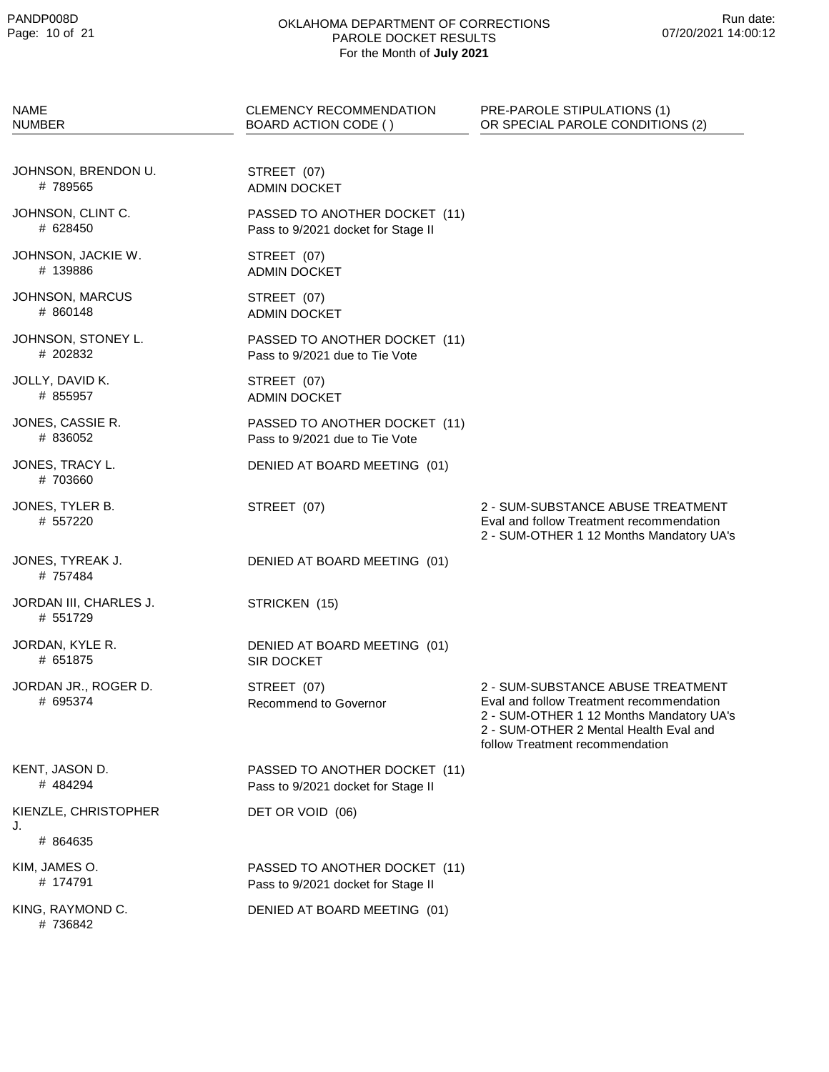| <b>NAME</b><br><b>NUMBER</b>       | <b>CLEMENCY RECOMMENDATION</b><br>BOARD ACTION CODE ()              | PRE-PAROLE STIPULATIONS (1)<br>OR SPECIAL PAROLE CONDITIONS (2)                                                                                                                                        |
|------------------------------------|---------------------------------------------------------------------|--------------------------------------------------------------------------------------------------------------------------------------------------------------------------------------------------------|
| JOHNSON, BRENDON U.<br>#789565     | STREET (07)<br><b>ADMIN DOCKET</b>                                  |                                                                                                                                                                                                        |
| JOHNSON, CLINT C.<br># 628450      | PASSED TO ANOTHER DOCKET (11)<br>Pass to 9/2021 docket for Stage II |                                                                                                                                                                                                        |
| JOHNSON, JACKIE W.<br># 139886     | STREET (07)<br><b>ADMIN DOCKET</b>                                  |                                                                                                                                                                                                        |
| JOHNSON, MARCUS<br># 860148        | STREET (07)<br><b>ADMIN DOCKET</b>                                  |                                                                                                                                                                                                        |
| JOHNSON, STONEY L.<br># 202832     | PASSED TO ANOTHER DOCKET (11)<br>Pass to 9/2021 due to Tie Vote     |                                                                                                                                                                                                        |
| JOLLY, DAVID K.<br># 855957        | STREET (07)<br><b>ADMIN DOCKET</b>                                  |                                                                                                                                                                                                        |
| JONES, CASSIE R.<br># 836052       | PASSED TO ANOTHER DOCKET (11)<br>Pass to 9/2021 due to Tie Vote     |                                                                                                                                                                                                        |
| JONES, TRACY L.<br># 703660        | DENIED AT BOARD MEETING (01)                                        |                                                                                                                                                                                                        |
| JONES, TYLER B.<br># 557220        | STREET (07)                                                         | 2 - SUM-SUBSTANCE ABUSE TREATMENT<br>Eval and follow Treatment recommendation<br>2 - SUM-OTHER 1 12 Months Mandatory UA's                                                                              |
| JONES, TYREAK J.<br># 757484       | DENIED AT BOARD MEETING (01)                                        |                                                                                                                                                                                                        |
| JORDAN III, CHARLES J.<br># 551729 | STRICKEN (15)                                                       |                                                                                                                                                                                                        |
| JORDAN, KYLE R.<br># 651875        | DENIED AT BOARD MEETING (01)<br>SIR DOCKET                          |                                                                                                                                                                                                        |
| JORDAN JR., ROGER D.<br># 695374   | STREET (07)<br>Recommend to Governor                                | 2 - SUM-SUBSTANCE ABUSE TREATMENT<br>Eval and follow Treatment recommendation<br>2 - SUM-OTHER 1 12 Months Mandatory UA's<br>2 - SUM-OTHER 2 Mental Health Eval and<br>follow Treatment recommendation |
| KENT, JASON D.<br># 484294         | PASSED TO ANOTHER DOCKET (11)<br>Pass to 9/2021 docket for Stage II |                                                                                                                                                                                                        |
| KIENZLE, CHRISTOPHER               | DET OR VOID (06)                                                    |                                                                                                                                                                                                        |
| J.<br># 864635                     |                                                                     |                                                                                                                                                                                                        |
| KIM, JAMES O.<br># 174791          | PASSED TO ANOTHER DOCKET (11)<br>Pass to 9/2021 docket for Stage II |                                                                                                                                                                                                        |
| KING, RAYMOND C.<br># 736842       | DENIED AT BOARD MEETING (01)                                        |                                                                                                                                                                                                        |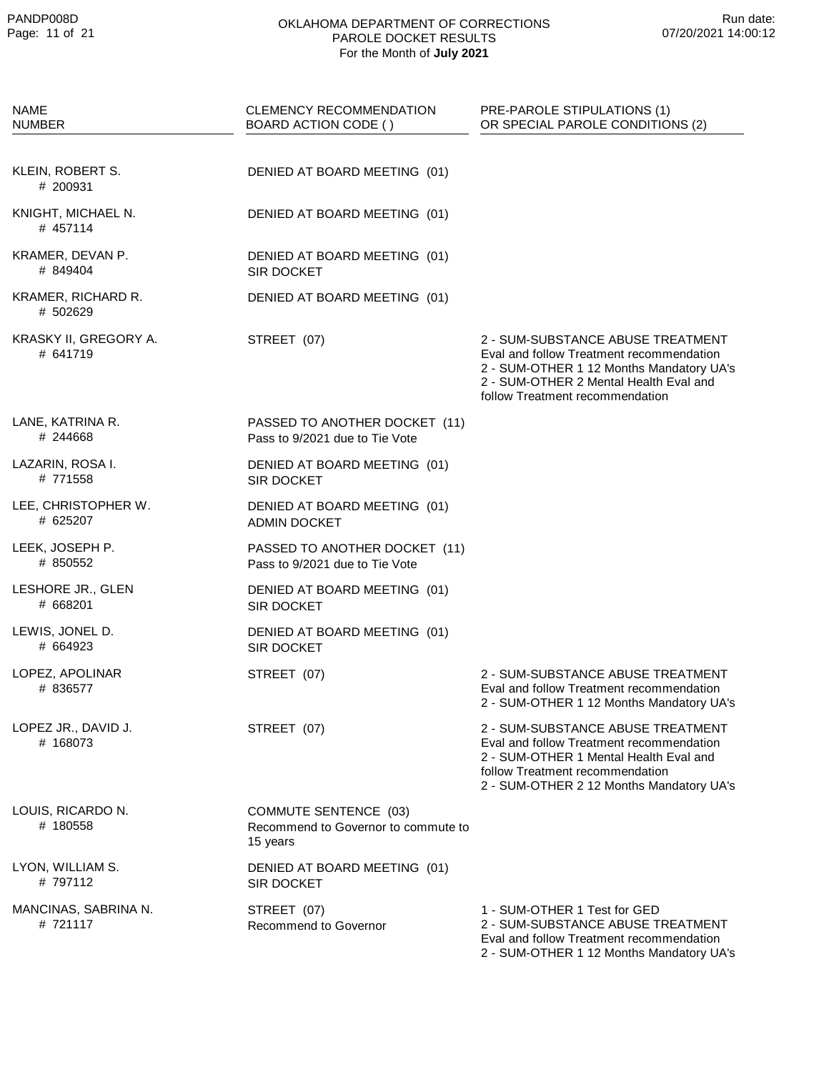| <b>NAME</b><br><b>NUMBER</b>      | CLEMENCY RECOMMENDATION<br>BOARD ACTION CODE ()                                 | PRE-PAROLE STIPULATIONS (1)<br>OR SPECIAL PAROLE CONDITIONS (2)                                                                                                                                        |
|-----------------------------------|---------------------------------------------------------------------------------|--------------------------------------------------------------------------------------------------------------------------------------------------------------------------------------------------------|
| KLEIN, ROBERT S.<br># 200931      | DENIED AT BOARD MEETING (01)                                                    |                                                                                                                                                                                                        |
| KNIGHT, MICHAEL N.<br># 457114    | DENIED AT BOARD MEETING (01)                                                    |                                                                                                                                                                                                        |
| KRAMER, DEVAN P.<br># 849404      | DENIED AT BOARD MEETING (01)<br>SIR DOCKET                                      |                                                                                                                                                                                                        |
| KRAMER, RICHARD R.<br># 502629    | DENIED AT BOARD MEETING (01)                                                    |                                                                                                                                                                                                        |
| KRASKY II, GREGORY A.<br># 641719 | STREET (07)                                                                     | 2 - SUM-SUBSTANCE ABUSE TREATMENT<br>Eval and follow Treatment recommendation<br>2 - SUM-OTHER 1 12 Months Mandatory UA's<br>2 - SUM-OTHER 2 Mental Health Eval and<br>follow Treatment recommendation |
| LANE, KATRINA R.<br># 244668      | PASSED TO ANOTHER DOCKET (11)<br>Pass to 9/2021 due to Tie Vote                 |                                                                                                                                                                                                        |
| LAZARIN, ROSA I.<br># 771558      | DENIED AT BOARD MEETING (01)<br>SIR DOCKET                                      |                                                                                                                                                                                                        |
| LEE, CHRISTOPHER W.<br># 625207   | DENIED AT BOARD MEETING (01)<br><b>ADMIN DOCKET</b>                             |                                                                                                                                                                                                        |
| LEEK, JOSEPH P.<br># 850552       | PASSED TO ANOTHER DOCKET (11)<br>Pass to 9/2021 due to Tie Vote                 |                                                                                                                                                                                                        |
| LESHORE JR., GLEN<br># 668201     | DENIED AT BOARD MEETING (01)<br><b>SIR DOCKET</b>                               |                                                                                                                                                                                                        |
| LEWIS, JONEL D.<br># 664923       | DENIED AT BOARD MEETING (01)<br>SIR DOCKET                                      |                                                                                                                                                                                                        |
| LOPEZ, APOLINAR<br># 836577       | STREET (07)                                                                     | 2 - SUM-SUBSTANCE ABUSE TREATMENT<br>Eval and follow Treatment recommendation<br>2 - SUM-OTHER 1 12 Months Mandatory UA's                                                                              |
| LOPEZ JR., DAVID J.<br># 168073   | STREET (07)                                                                     | 2 - SUM-SUBSTANCE ABUSE TREATMENT<br>Eval and follow Treatment recommendation<br>2 - SUM-OTHER 1 Mental Health Eval and<br>follow Treatment recommendation<br>2 - SUM-OTHER 2 12 Months Mandatory UA's |
| LOUIS, RICARDO N.<br># 180558     | <b>COMMUTE SENTENCE (03)</b><br>Recommend to Governor to commute to<br>15 years |                                                                                                                                                                                                        |
| LYON, WILLIAM S.<br># 797112      | DENIED AT BOARD MEETING (01)<br><b>SIR DOCKET</b>                               |                                                                                                                                                                                                        |
| MANCINAS, SABRINA N.<br># 721117  | STREET (07)<br><b>Recommend to Governor</b>                                     | 1 - SUM-OTHER 1 Test for GED<br>2 - SUM-SUBSTANCE ABUSE TREATMENT<br>Eval and follow Treatment recommendation<br>2 - SUM-OTHER 1 12 Months Mandatory UA's                                              |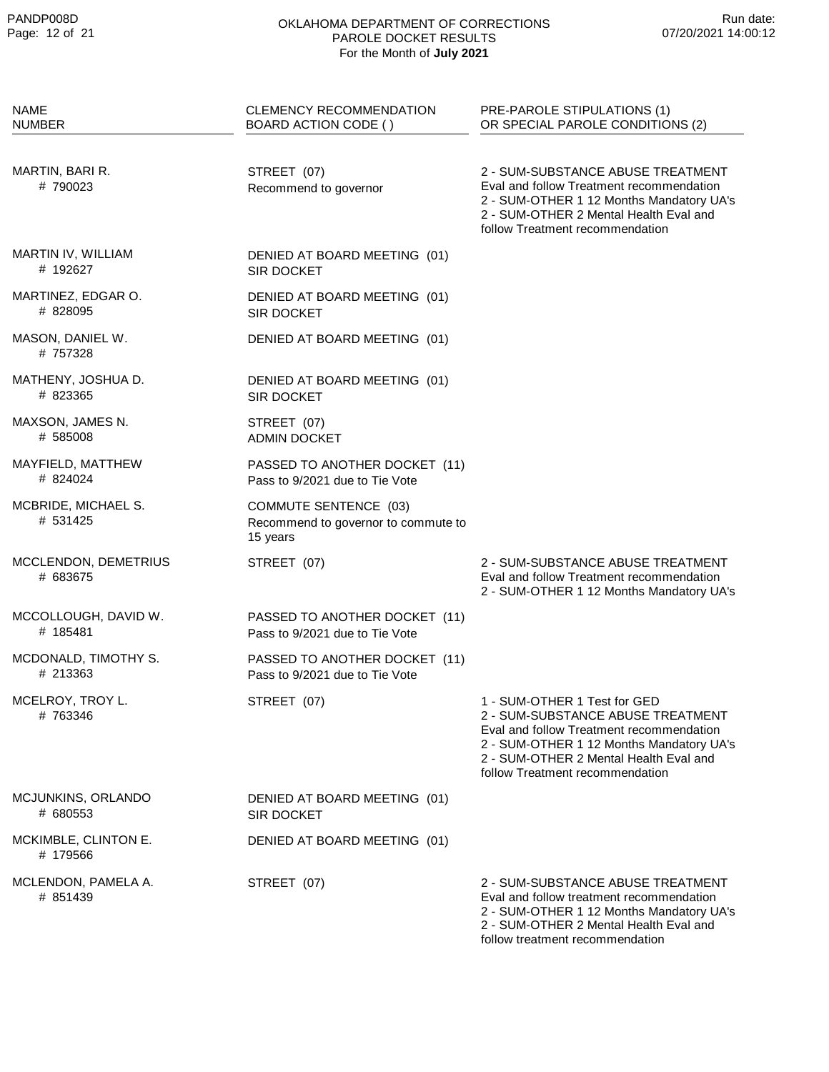| <b>NAME</b><br>NUMBER            | <b>CLEMENCY RECOMMENDATION</b><br>BOARD ACTION CODE ()                          | PRE-PAROLE STIPULATIONS (1)<br>OR SPECIAL PAROLE CONDITIONS (2)                                                                                                                                                                        |
|----------------------------------|---------------------------------------------------------------------------------|----------------------------------------------------------------------------------------------------------------------------------------------------------------------------------------------------------------------------------------|
|                                  |                                                                                 |                                                                                                                                                                                                                                        |
| MARTIN, BARI R.<br>#790023       | STREET (07)<br>Recommend to governor                                            | 2 - SUM-SUBSTANCE ABUSE TREATMENT<br>Eval and follow Treatment recommendation<br>2 - SUM-OTHER 1 12 Months Mandatory UA's<br>2 - SUM-OTHER 2 Mental Health Eval and<br>follow Treatment recommendation                                 |
| MARTIN IV, WILLIAM<br># 192627   | DENIED AT BOARD MEETING (01)<br><b>SIR DOCKET</b>                               |                                                                                                                                                                                                                                        |
| MARTINEZ, EDGAR O.<br># 828095   | DENIED AT BOARD MEETING (01)<br>SIR DOCKET                                      |                                                                                                                                                                                                                                        |
| MASON, DANIEL W.<br>#757328      | DENIED AT BOARD MEETING (01)                                                    |                                                                                                                                                                                                                                        |
| MATHENY, JOSHUA D.<br># 823365   | DENIED AT BOARD MEETING (01)<br><b>SIR DOCKET</b>                               |                                                                                                                                                                                                                                        |
| MAXSON, JAMES N.<br># 585008     | STREET (07)<br><b>ADMIN DOCKET</b>                                              |                                                                                                                                                                                                                                        |
| MAYFIELD, MATTHEW<br># 824024    | PASSED TO ANOTHER DOCKET (11)<br>Pass to 9/2021 due to Tie Vote                 |                                                                                                                                                                                                                                        |
| MCBRIDE, MICHAEL S.<br># 531425  | <b>COMMUTE SENTENCE (03)</b><br>Recommend to governor to commute to<br>15 years |                                                                                                                                                                                                                                        |
| MCCLENDON, DEMETRIUS<br># 683675 | STREET (07)                                                                     | 2 - SUM-SUBSTANCE ABUSE TREATMENT<br>Eval and follow Treatment recommendation<br>2 - SUM-OTHER 1 12 Months Mandatory UA's                                                                                                              |
| MCCOLLOUGH, DAVID W.<br># 185481 | PASSED TO ANOTHER DOCKET (11)<br>Pass to 9/2021 due to Tie Vote                 |                                                                                                                                                                                                                                        |
| MCDONALD, TIMOTHY S.<br># 213363 | PASSED TO ANOTHER DOCKET (11)<br>Pass to 9/2021 due to Tie Vote                 |                                                                                                                                                                                                                                        |
| MCELROY, TROY L.<br>#763346      | STREET (07)                                                                     | 1 - SUM-OTHER 1 Test for GED<br>2 - SUM-SUBSTANCE ABUSE TREATMENT<br>Eval and follow Treatment recommendation<br>2 - SUM-OTHER 1 12 Months Mandatory UA's<br>2 - SUM-OTHER 2 Mental Health Eval and<br>follow Treatment recommendation |
| MCJUNKINS, ORLANDO<br># 680553   | DENIED AT BOARD MEETING (01)<br>SIR DOCKET                                      |                                                                                                                                                                                                                                        |
| MCKIMBLE, CLINTON E.<br># 179566 | DENIED AT BOARD MEETING (01)                                                    |                                                                                                                                                                                                                                        |
| MCLENDON, PAMELA A.<br># 851439  | STREET (07)                                                                     | 2 - SUM-SUBSTANCE ABUSE TREATMENT<br>Eval and follow treatment recommendation<br>2 - SUM-OTHER 1 12 Months Mandatory UA's<br>2 - SUM-OTHER 2 Mental Health Eval and<br>follow treatment recommendation                                 |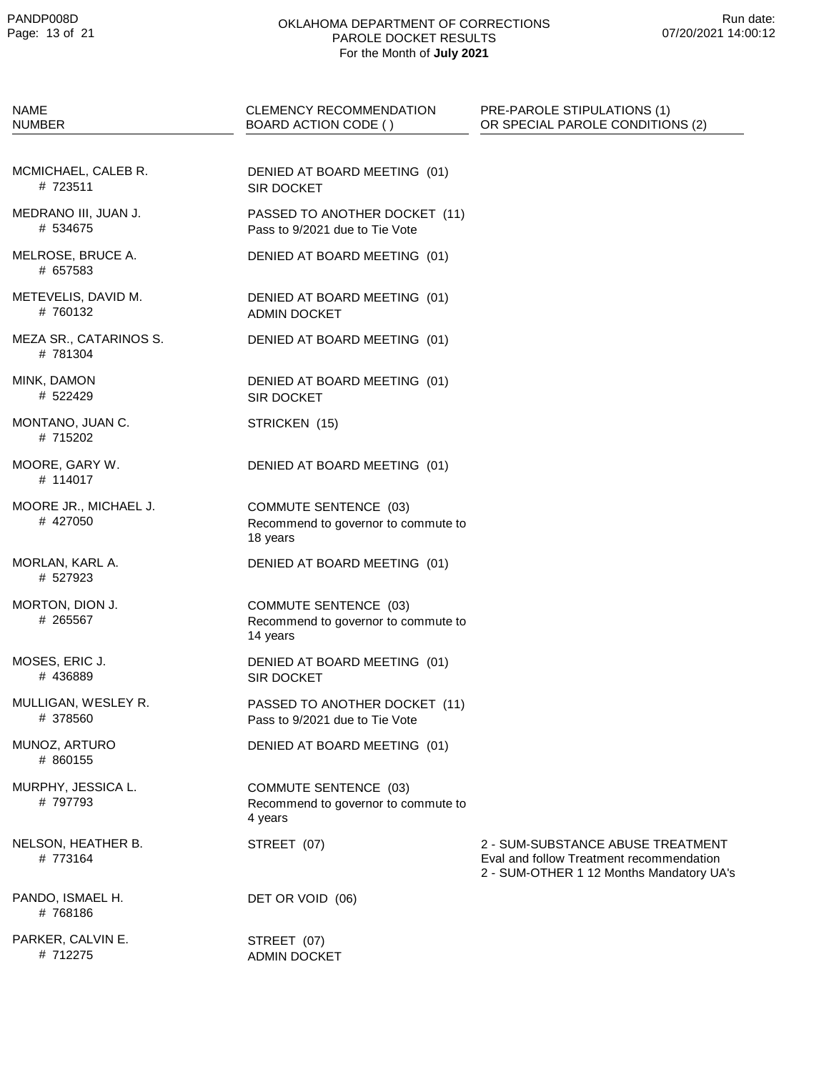| <b>NAME</b><br><b>NUMBER</b>       | <b>CLEMENCY RECOMMENDATION</b><br>BOARD ACTION CODE ()                          | PRE-PAROLE STIPULATIONS (1)<br>OR SPECIAL PAROLE CONDITIONS (2)                                                           |
|------------------------------------|---------------------------------------------------------------------------------|---------------------------------------------------------------------------------------------------------------------------|
| MCMICHAEL, CALEB R.<br># 723511    | DENIED AT BOARD MEETING (01)<br><b>SIR DOCKET</b>                               |                                                                                                                           |
| MEDRANO III, JUAN J.<br># 534675   | PASSED TO ANOTHER DOCKET (11)<br>Pass to 9/2021 due to Tie Vote                 |                                                                                                                           |
| MELROSE, BRUCE A.<br># 657583      | DENIED AT BOARD MEETING (01)                                                    |                                                                                                                           |
| METEVELIS, DAVID M.<br># 760132    | DENIED AT BOARD MEETING (01)<br><b>ADMIN DOCKET</b>                             |                                                                                                                           |
| MEZA SR., CATARINOS S.<br># 781304 | DENIED AT BOARD MEETING (01)                                                    |                                                                                                                           |
| MINK, DAMON<br># 522429            | DENIED AT BOARD MEETING (01)<br><b>SIR DOCKET</b>                               |                                                                                                                           |
| MONTANO, JUAN C.<br># 715202       | STRICKEN (15)                                                                   |                                                                                                                           |
| MOORE, GARY W.<br># 114017         | DENIED AT BOARD MEETING (01)                                                    |                                                                                                                           |
| MOORE JR., MICHAEL J.<br># 427050  | <b>COMMUTE SENTENCE (03)</b><br>Recommend to governor to commute to<br>18 years |                                                                                                                           |
| MORLAN, KARL A.<br># 527923        | DENIED AT BOARD MEETING (01)                                                    |                                                                                                                           |
| MORTON, DION J.<br># 265567        | <b>COMMUTE SENTENCE (03)</b><br>Recommend to governor to commute to<br>14 years |                                                                                                                           |
| MOSES, ERIC J.<br># 436889         | DENIED AT BOARD MEETING (01)<br>SIR DOCKET                                      |                                                                                                                           |
| MULLIGAN, WESLEY R.<br># 378560    | PASSED TO ANOTHER DOCKET (11)<br>Pass to 9/2021 due to Tie Vote                 |                                                                                                                           |
| MUNOZ, ARTURO<br># 860155          | DENIED AT BOARD MEETING (01)                                                    |                                                                                                                           |
| MURPHY, JESSICA L.<br># 797793     | <b>COMMUTE SENTENCE (03)</b><br>Recommend to governor to commute to<br>4 years  |                                                                                                                           |
| NELSON, HEATHER B.<br># 773164     | STREET (07)                                                                     | 2 - SUM-SUBSTANCE ABUSE TREATMENT<br>Eval and follow Treatment recommendation<br>2 - SUM-OTHER 1 12 Months Mandatory UA's |
| PANDO, ISMAEL H.<br>#768186        | DET OR VOID (06)                                                                |                                                                                                                           |
| PARKER, CALVIN E.<br># 712275      | STREET (07)<br><b>ADMIN DOCKET</b>                                              |                                                                                                                           |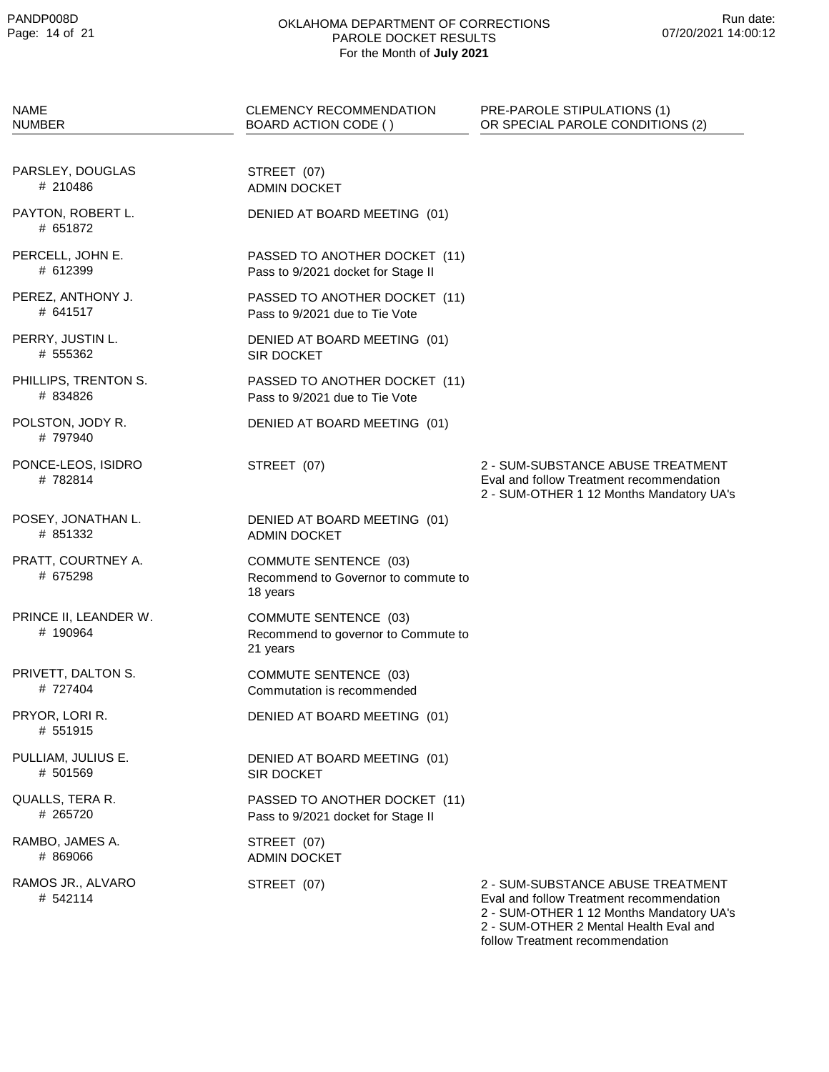| NAME<br><b>NUMBER</b>             | <b>CLEMENCY RECOMMENDATION</b><br>BOARD ACTION CODE ()                          | PRE-PAROLE STIPULATIONS (1)<br>OR SPECIAL PAROLE CONDITIONS (2)                                                                                                                                        |
|-----------------------------------|---------------------------------------------------------------------------------|--------------------------------------------------------------------------------------------------------------------------------------------------------------------------------------------------------|
| PARSLEY, DOUGLAS<br># 210486      | STREET (07)<br><b>ADMIN DOCKET</b>                                              |                                                                                                                                                                                                        |
| PAYTON, ROBERT L.<br># 651872     | DENIED AT BOARD MEETING (01)                                                    |                                                                                                                                                                                                        |
| PERCELL, JOHN E.<br># 612399      | PASSED TO ANOTHER DOCKET (11)<br>Pass to 9/2021 docket for Stage II             |                                                                                                                                                                                                        |
| PEREZ, ANTHONY J.<br># 641517     | PASSED TO ANOTHER DOCKET (11)<br>Pass to 9/2021 due to Tie Vote                 |                                                                                                                                                                                                        |
| PERRY, JUSTIN L.<br># 555362      | DENIED AT BOARD MEETING (01)<br><b>SIR DOCKET</b>                               |                                                                                                                                                                                                        |
| PHILLIPS, TRENTON S.<br># 834826  | PASSED TO ANOTHER DOCKET (11)<br>Pass to 9/2021 due to Tie Vote                 |                                                                                                                                                                                                        |
| POLSTON, JODY R.<br># 797940      | DENIED AT BOARD MEETING (01)                                                    |                                                                                                                                                                                                        |
| PONCE-LEOS, ISIDRO<br>#782814     | STREET (07)                                                                     | 2 - SUM-SUBSTANCE ABUSE TREATMENT<br>Eval and follow Treatment recommendation<br>2 - SUM-OTHER 1 12 Months Mandatory UA's                                                                              |
| POSEY, JONATHAN L.<br># 851332    | DENIED AT BOARD MEETING (01)<br><b>ADMIN DOCKET</b>                             |                                                                                                                                                                                                        |
| PRATT, COURTNEY A.<br># 675298    | COMMUTE SENTENCE (03)<br>Recommend to Governor to commute to<br>18 years        |                                                                                                                                                                                                        |
| PRINCE II, LEANDER W.<br># 190964 | <b>COMMUTE SENTENCE (03)</b><br>Recommend to governor to Commute to<br>21 years |                                                                                                                                                                                                        |
| PRIVETT, DALTON S.<br># 727404    | <b>COMMUTE SENTENCE (03)</b><br>Commutation is recommended                      |                                                                                                                                                                                                        |
| PRYOR, LORI R.<br># 551915        | DENIED AT BOARD MEETING (01)                                                    |                                                                                                                                                                                                        |
| PULLIAM, JULIUS E.<br># 501569    | DENIED AT BOARD MEETING (01)<br>SIR DOCKET                                      |                                                                                                                                                                                                        |
| QUALLS, TERA R.<br># 265720       | PASSED TO ANOTHER DOCKET (11)<br>Pass to 9/2021 docket for Stage II             |                                                                                                                                                                                                        |
| RAMBO, JAMES A.<br># 869066       | STREET (07)<br><b>ADMIN DOCKET</b>                                              |                                                                                                                                                                                                        |
| RAMOS JR., ALVARO<br># 542114     | STREET (07)                                                                     | 2 - SUM-SUBSTANCE ABUSE TREATMENT<br>Eval and follow Treatment recommendation<br>2 - SUM-OTHER 1 12 Months Mandatory UA's<br>2 - SUM-OTHER 2 Mental Health Eval and<br>follow Treatment recommendation |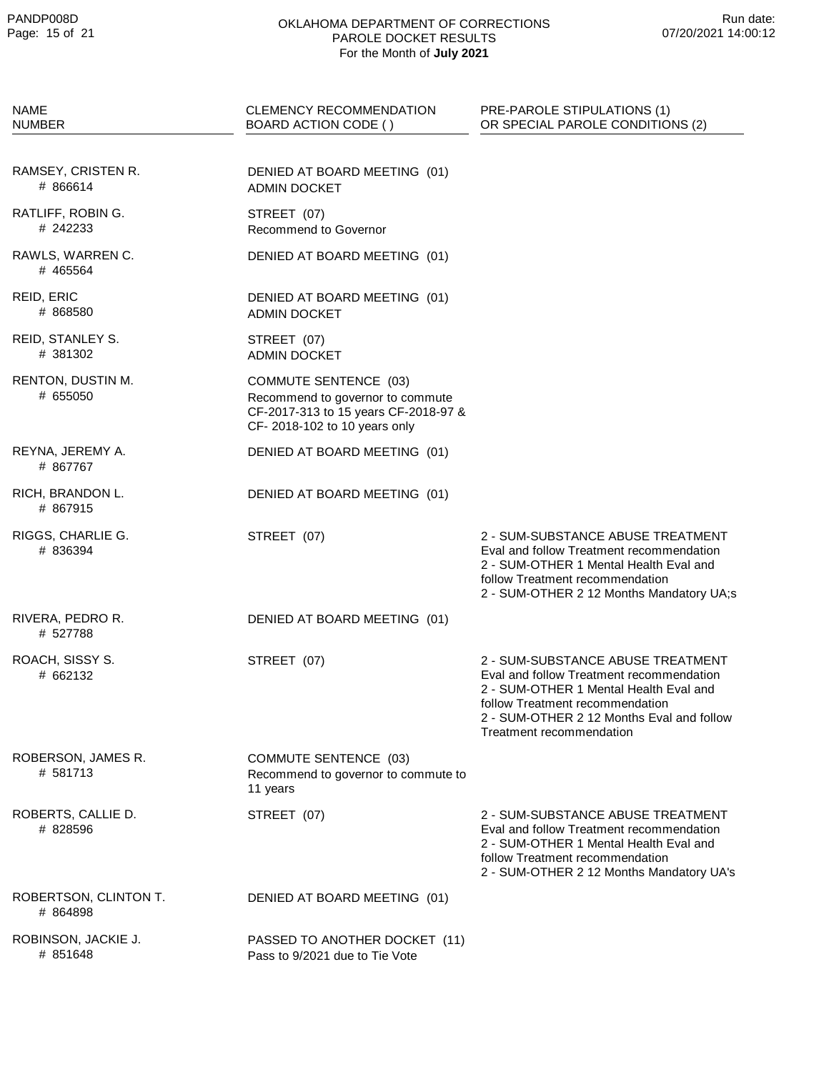| <b>NAME</b><br><b>NUMBER</b>      | <b>CLEMENCY RECOMMENDATION</b><br>BOARD ACTION CODE ()                                                                                   | PRE-PAROLE STIPULATIONS (1)<br>OR SPECIAL PAROLE CONDITIONS (2)                                                                                                                                                                     |
|-----------------------------------|------------------------------------------------------------------------------------------------------------------------------------------|-------------------------------------------------------------------------------------------------------------------------------------------------------------------------------------------------------------------------------------|
| RAMSEY, CRISTEN R.<br># 866614    | DENIED AT BOARD MEETING (01)<br><b>ADMIN DOCKET</b>                                                                                      |                                                                                                                                                                                                                                     |
| RATLIFF, ROBIN G.<br># 242233     | STREET (07)<br><b>Recommend to Governor</b>                                                                                              |                                                                                                                                                                                                                                     |
| RAWLS, WARREN C.<br># 465564      | DENIED AT BOARD MEETING (01)                                                                                                             |                                                                                                                                                                                                                                     |
| REID, ERIC<br># 868580            | DENIED AT BOARD MEETING (01)<br><b>ADMIN DOCKET</b>                                                                                      |                                                                                                                                                                                                                                     |
| REID, STANLEY S.<br># 381302      | STREET (07)<br><b>ADMIN DOCKET</b>                                                                                                       |                                                                                                                                                                                                                                     |
| RENTON, DUSTIN M.<br># 655050     | <b>COMMUTE SENTENCE (03)</b><br>Recommend to governor to commute<br>CF-2017-313 to 15 years CF-2018-97 &<br>CF-2018-102 to 10 years only |                                                                                                                                                                                                                                     |
| REYNA, JEREMY A.<br># 867767      | DENIED AT BOARD MEETING (01)                                                                                                             |                                                                                                                                                                                                                                     |
| RICH, BRANDON L.<br># 867915      | DENIED AT BOARD MEETING (01)                                                                                                             |                                                                                                                                                                                                                                     |
| RIGGS, CHARLIE G.<br># 836394     | STREET (07)                                                                                                                              | 2 - SUM-SUBSTANCE ABUSE TREATMENT<br>Eval and follow Treatment recommendation<br>2 - SUM-OTHER 1 Mental Health Eval and<br>follow Treatment recommendation<br>2 - SUM-OTHER 2 12 Months Mandatory UA;s                              |
| RIVERA, PEDRO R.<br># 527788      | DENIED AT BOARD MEETING (01)                                                                                                             |                                                                                                                                                                                                                                     |
| ROACH, SISSY S.<br># 662132       | STREET (07)                                                                                                                              | 2 - SUM-SUBSTANCE ABUSE TREATMENT<br>Eval and follow Treatment recommendation<br>2 - SUM-OTHER 1 Mental Health Eval and<br>follow Treatment recommendation<br>2 - SUM-OTHER 2 12 Months Eval and follow<br>Treatment recommendation |
| ROBERSON, JAMES R.<br># 581713    | <b>COMMUTE SENTENCE (03)</b><br>Recommend to governor to commute to<br>11 years                                                          |                                                                                                                                                                                                                                     |
| ROBERTS, CALLIE D.<br># 828596    | STREET (07)                                                                                                                              | 2 - SUM-SUBSTANCE ABUSE TREATMENT<br>Eval and follow Treatment recommendation<br>2 - SUM-OTHER 1 Mental Health Eval and<br>follow Treatment recommendation<br>2 - SUM-OTHER 2 12 Months Mandatory UA's                              |
| ROBERTSON, CLINTON T.<br># 864898 | DENIED AT BOARD MEETING (01)                                                                                                             |                                                                                                                                                                                                                                     |
| ROBINSON, JACKIE J.<br># 851648   | PASSED TO ANOTHER DOCKET (11)<br>Pass to 9/2021 due to Tie Vote                                                                          |                                                                                                                                                                                                                                     |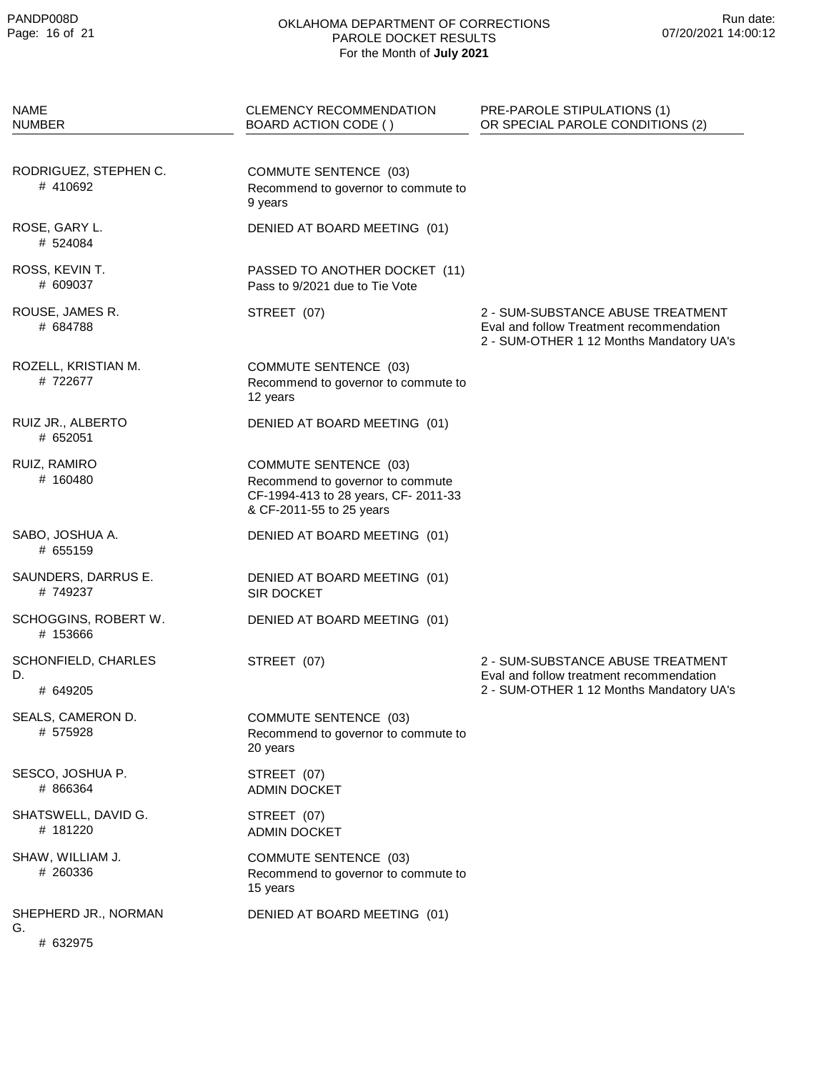| <b>NAME</b><br><b>NUMBER</b>           | <b>CLEMENCY RECOMMENDATION</b><br>BOARD ACTION CODE ()                                                                              | PRE-PAROLE STIPULATIONS (1)<br>OR SPECIAL PAROLE CONDITIONS (2)                                                           |
|----------------------------------------|-------------------------------------------------------------------------------------------------------------------------------------|---------------------------------------------------------------------------------------------------------------------------|
| RODRIGUEZ, STEPHEN C.<br># 410692      | COMMUTE SENTENCE (03)<br>Recommend to governor to commute to<br>9 years                                                             |                                                                                                                           |
| ROSE, GARY L.<br># 524084              | DENIED AT BOARD MEETING (01)                                                                                                        |                                                                                                                           |
| ROSS, KEVIN T.<br># 609037             | PASSED TO ANOTHER DOCKET (11)<br>Pass to 9/2021 due to Tie Vote                                                                     |                                                                                                                           |
| ROUSE, JAMES R.<br># 684788            | STREET (07)                                                                                                                         | 2 - SUM-SUBSTANCE ABUSE TREATMENT<br>Eval and follow Treatment recommendation<br>2 - SUM-OTHER 1 12 Months Mandatory UA's |
| ROZELL, KRISTIAN M.<br>#722677         | <b>COMMUTE SENTENCE (03)</b><br>Recommend to governor to commute to<br>12 years                                                     |                                                                                                                           |
| RUIZ JR., ALBERTO<br># 652051          | DENIED AT BOARD MEETING (01)                                                                                                        |                                                                                                                           |
| RUIZ, RAMIRO<br># 160480               | <b>COMMUTE SENTENCE (03)</b><br>Recommend to governor to commute<br>CF-1994-413 to 28 years, CF-2011-33<br>& CF-2011-55 to 25 years |                                                                                                                           |
| SABO, JOSHUA A.<br># 655159            | DENIED AT BOARD MEETING (01)                                                                                                        |                                                                                                                           |
| SAUNDERS, DARRUS E.<br>#749237         | DENIED AT BOARD MEETING (01)<br><b>SIR DOCKET</b>                                                                                   |                                                                                                                           |
| SCHOGGINS, ROBERT W.<br># 153666       | DENIED AT BOARD MEETING (01)                                                                                                        |                                                                                                                           |
| SCHONFIELD, CHARLES<br>D.<br># 649205  | STREET (07)                                                                                                                         | 2 - SUM-SUBSTANCE ABUSE TREATMENT<br>Eval and follow treatment recommendation<br>2 - SUM-OTHER 1 12 Months Mandatory UA's |
| SEALS, CAMERON D.<br># 575928          | <b>COMMUTE SENTENCE (03)</b><br>Recommend to governor to commute to<br>20 years                                                     |                                                                                                                           |
| SESCO, JOSHUA P.<br># 866364           | STREET (07)<br><b>ADMIN DOCKET</b>                                                                                                  |                                                                                                                           |
| SHATSWELL, DAVID G.<br># 181220        | STREET (07)<br><b>ADMIN DOCKET</b>                                                                                                  |                                                                                                                           |
| SHAW, WILLIAM J.<br># 260336           | COMMUTE SENTENCE (03)<br>Recommend to governor to commute to<br>15 years                                                            |                                                                                                                           |
| SHEPHERD JR., NORMAN<br>G.<br># 632975 | DENIED AT BOARD MEETING (01)                                                                                                        |                                                                                                                           |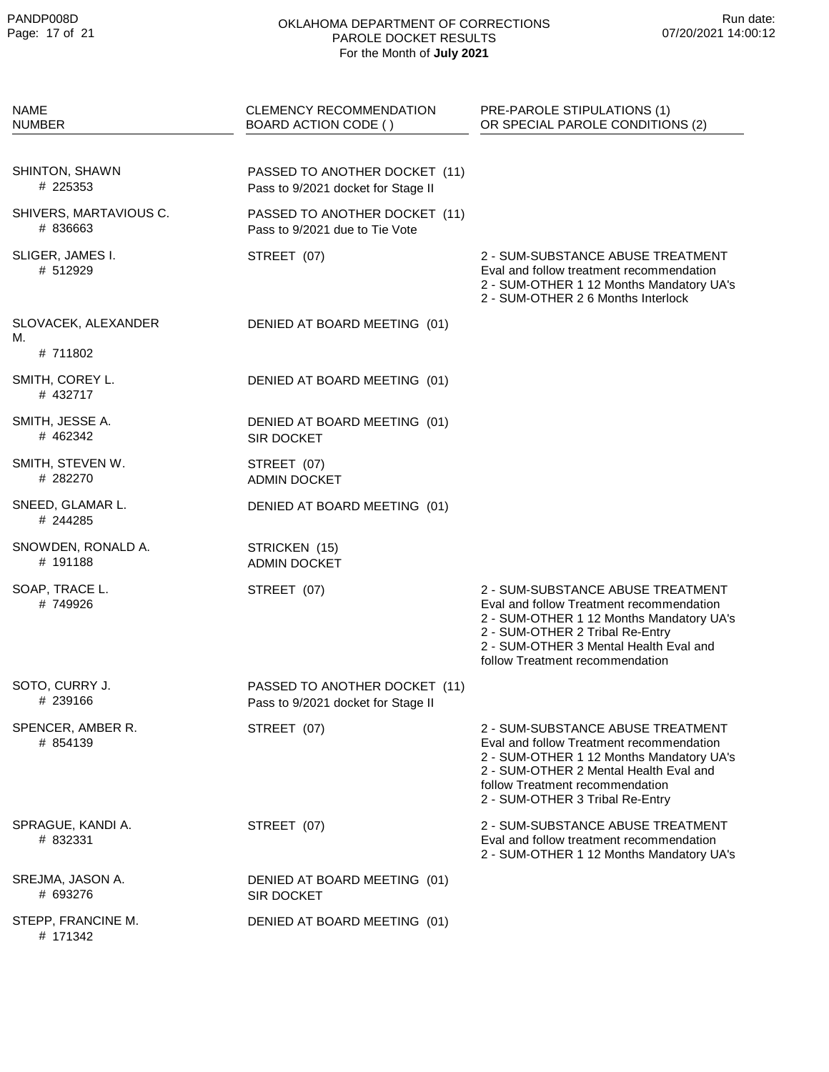| <b>NAME</b><br><b>NUMBER</b>       | <b>CLEMENCY RECOMMENDATION</b><br>BOARD ACTION CODE ()              | PRE-PAROLE STIPULATIONS (1)<br>OR SPECIAL PAROLE CONDITIONS (2)                                                                                                                                                                           |
|------------------------------------|---------------------------------------------------------------------|-------------------------------------------------------------------------------------------------------------------------------------------------------------------------------------------------------------------------------------------|
|                                    |                                                                     |                                                                                                                                                                                                                                           |
| SHINTON, SHAWN<br># 225353         | PASSED TO ANOTHER DOCKET (11)<br>Pass to 9/2021 docket for Stage II |                                                                                                                                                                                                                                           |
| SHIVERS, MARTAVIOUS C.<br># 836663 | PASSED TO ANOTHER DOCKET (11)<br>Pass to 9/2021 due to Tie Vote     |                                                                                                                                                                                                                                           |
| SLIGER, JAMES I.<br># 512929       | STREET (07)                                                         | 2 - SUM-SUBSTANCE ABUSE TREATMENT<br>Eval and follow treatment recommendation<br>2 - SUM-OTHER 1 12 Months Mandatory UA's<br>2 - SUM-OTHER 2 6 Months Interlock                                                                           |
| SLOVACEK, ALEXANDER<br>М.          | DENIED AT BOARD MEETING (01)                                        |                                                                                                                                                                                                                                           |
| # 711802                           |                                                                     |                                                                                                                                                                                                                                           |
| SMITH, COREY L.<br># 432717        | DENIED AT BOARD MEETING (01)                                        |                                                                                                                                                                                                                                           |
| SMITH, JESSE A.<br># 462342        | DENIED AT BOARD MEETING (01)<br><b>SIR DOCKET</b>                   |                                                                                                                                                                                                                                           |
| SMITH, STEVEN W.<br># 282270       | STREET (07)<br><b>ADMIN DOCKET</b>                                  |                                                                                                                                                                                                                                           |
| SNEED, GLAMAR L.<br># 244285       | DENIED AT BOARD MEETING (01)                                        |                                                                                                                                                                                                                                           |
| SNOWDEN, RONALD A.<br># 191188     | STRICKEN (15)<br><b>ADMIN DOCKET</b>                                |                                                                                                                                                                                                                                           |
| SOAP, TRACE L.<br>#749926          | STREET (07)                                                         | 2 - SUM-SUBSTANCE ABUSE TREATMENT<br>Eval and follow Treatment recommendation<br>2 - SUM-OTHER 1 12 Months Mandatory UA's<br>2 - SUM-OTHER 2 Tribal Re-Entry<br>2 - SUM-OTHER 3 Mental Health Eval and<br>follow Treatment recommendation |
| SOTO, CURRY J.<br># 239166         | PASSED TO ANOTHER DOCKET (11)<br>Pass to 9/2021 docket for Stage II |                                                                                                                                                                                                                                           |
| SPENCER, AMBER R.<br># 854139      | STREET (07)                                                         | 2 - SUM-SUBSTANCE ABUSE TREATMENT<br>Eval and follow Treatment recommendation<br>2 - SUM-OTHER 1 12 Months Mandatory UA's<br>2 - SUM-OTHER 2 Mental Health Eval and<br>follow Treatment recommendation<br>2 - SUM-OTHER 3 Tribal Re-Entry |
| SPRAGUE, KANDI A.<br># 832331      | STREET (07)                                                         | 2 - SUM-SUBSTANCE ABUSE TREATMENT<br>Eval and follow treatment recommendation<br>2 - SUM-OTHER 1 12 Months Mandatory UA's                                                                                                                 |
| SREJMA, JASON A.<br># 693276       | DENIED AT BOARD MEETING (01)<br><b>SIR DOCKET</b>                   |                                                                                                                                                                                                                                           |
| STEPP, FRANCINE M.<br># 171342     | DENIED AT BOARD MEETING (01)                                        |                                                                                                                                                                                                                                           |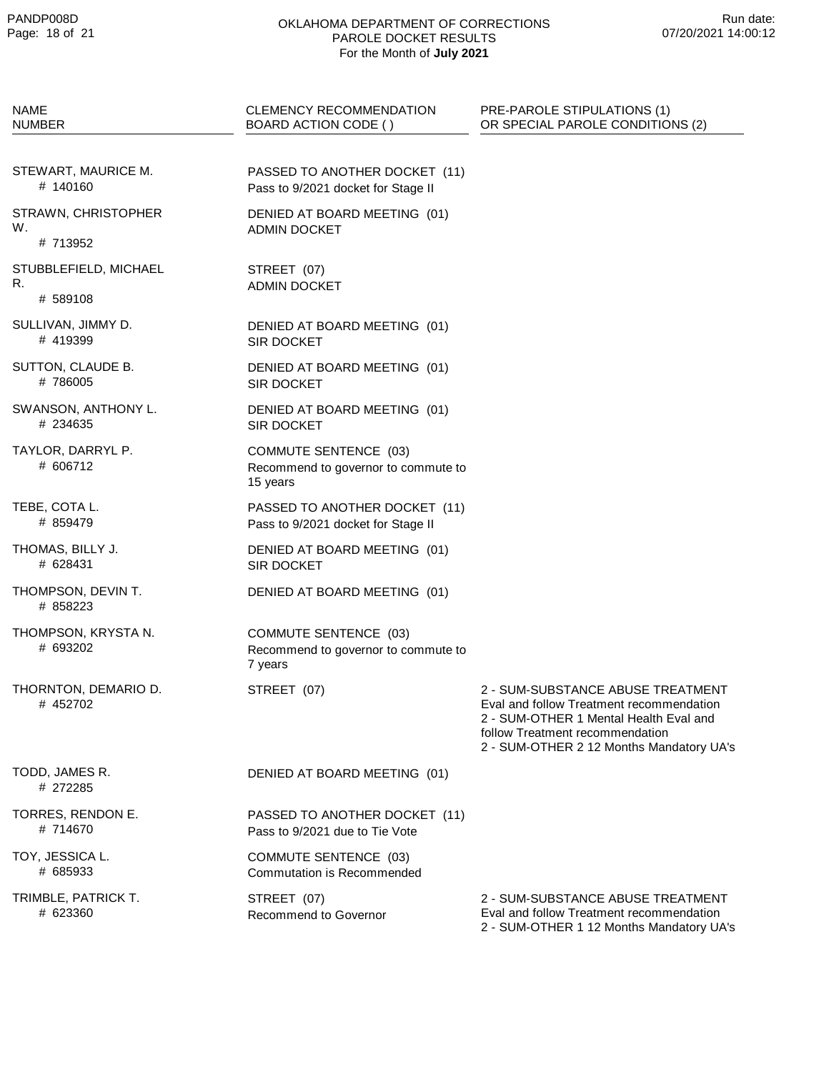| <b>NAME</b><br><b>NUMBER</b>            | <b>CLEMENCY RECOMMENDATION</b><br>BOARD ACTION CODE ()                          | PRE-PAROLE STIPULATIONS (1)<br>OR SPECIAL PAROLE CONDITIONS (2)                                                                                                                                        |
|-----------------------------------------|---------------------------------------------------------------------------------|--------------------------------------------------------------------------------------------------------------------------------------------------------------------------------------------------------|
| STEWART, MAURICE M.<br># 140160         | PASSED TO ANOTHER DOCKET (11)<br>Pass to 9/2021 docket for Stage II             |                                                                                                                                                                                                        |
| STRAWN, CHRISTOPHER<br>W.<br># 713952   | DENIED AT BOARD MEETING (01)<br><b>ADMIN DOCKET</b>                             |                                                                                                                                                                                                        |
| STUBBLEFIELD, MICHAEL<br>R.<br># 589108 | STREET (07)<br><b>ADMIN DOCKET</b>                                              |                                                                                                                                                                                                        |
| SULLIVAN, JIMMY D.<br># 419399          | DENIED AT BOARD MEETING (01)<br><b>SIR DOCKET</b>                               |                                                                                                                                                                                                        |
| SUTTON, CLAUDE B.<br>#786005            | DENIED AT BOARD MEETING (01)<br>SIR DOCKET                                      |                                                                                                                                                                                                        |
| SWANSON, ANTHONY L.<br># 234635         | DENIED AT BOARD MEETING (01)<br>SIR DOCKET                                      |                                                                                                                                                                                                        |
| TAYLOR, DARRYL P.<br># 606712           | <b>COMMUTE SENTENCE (03)</b><br>Recommend to governor to commute to<br>15 years |                                                                                                                                                                                                        |
| TEBE, COTA L.<br># 859479               | PASSED TO ANOTHER DOCKET (11)<br>Pass to 9/2021 docket for Stage II             |                                                                                                                                                                                                        |
| THOMAS, BILLY J.<br># 628431            | DENIED AT BOARD MEETING (01)<br>SIR DOCKET                                      |                                                                                                                                                                                                        |
| THOMPSON, DEVIN T.<br># 858223          | DENIED AT BOARD MEETING (01)                                                    |                                                                                                                                                                                                        |
| THOMPSON, KRYSTA N.<br># 693202         | <b>COMMUTE SENTENCE (03)</b><br>Recommend to governor to commute to<br>7 years  |                                                                                                                                                                                                        |
| THORNTON, DEMARIO D.<br># 452702        | STREET (07)                                                                     | 2 - SUM-SUBSTANCE ABUSE TREATMENT<br>Eval and follow Treatment recommendation<br>2 - SUM-OTHER 1 Mental Health Eval and<br>follow Treatment recommendation<br>2 - SUM-OTHER 2 12 Months Mandatory UA's |
| TODD, JAMES R.<br># 272285              | DENIED AT BOARD MEETING (01)                                                    |                                                                                                                                                                                                        |
| TORRES, RENDON E.<br># 714670           | PASSED TO ANOTHER DOCKET (11)<br>Pass to 9/2021 due to Tie Vote                 |                                                                                                                                                                                                        |
| TOY, JESSICA L.<br># 685933             | <b>COMMUTE SENTENCE (03)</b><br>Commutation is Recommended                      |                                                                                                                                                                                                        |
| TRIMBLE, PATRICK T.<br># 623360         | STREET (07)<br>Recommend to Governor                                            | 2 - SUM-SUBSTANCE ABUSE TREATMENT<br>Eval and follow Treatment recommendation<br>2 - SUM-OTHER 1 12 Months Mandatory UA's                                                                              |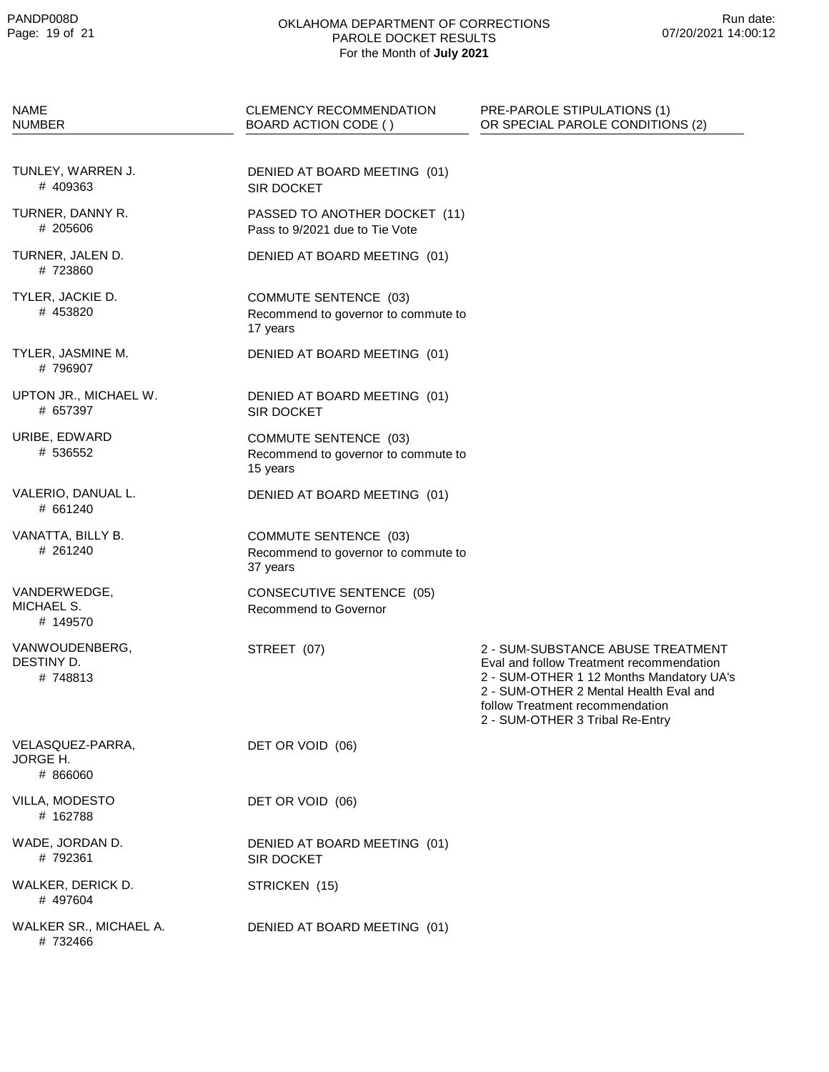| <b>NAME</b><br><b>NUMBER</b>             | <b>CLEMENCY RECOMMENDATION</b><br>BOARD ACTION CODE ()                          | PRE-PAROLE STIPULATIONS (1)<br>OR SPECIAL PAROLE CONDITIONS (2)                                                                                                                                                                           |
|------------------------------------------|---------------------------------------------------------------------------------|-------------------------------------------------------------------------------------------------------------------------------------------------------------------------------------------------------------------------------------------|
|                                          |                                                                                 |                                                                                                                                                                                                                                           |
| TUNLEY, WARREN J.<br># 409363            | DENIED AT BOARD MEETING (01)<br>SIR DOCKET                                      |                                                                                                                                                                                                                                           |
| TURNER, DANNY R.<br># 205606             | PASSED TO ANOTHER DOCKET (11)<br>Pass to 9/2021 due to Tie Vote                 |                                                                                                                                                                                                                                           |
| TURNER, JALEN D.<br># 723860             | DENIED AT BOARD MEETING (01)                                                    |                                                                                                                                                                                                                                           |
| TYLER, JACKIE D.<br># 453820             | <b>COMMUTE SENTENCE (03)</b><br>Recommend to governor to commute to<br>17 years |                                                                                                                                                                                                                                           |
| TYLER, JASMINE M.<br>#796907             | DENIED AT BOARD MEETING (01)                                                    |                                                                                                                                                                                                                                           |
| UPTON JR., MICHAEL W.<br># 657397        | DENIED AT BOARD MEETING (01)<br>SIR DOCKET                                      |                                                                                                                                                                                                                                           |
| URIBE, EDWARD<br># 536552                | COMMUTE SENTENCE (03)<br>Recommend to governor to commute to<br>15 years        |                                                                                                                                                                                                                                           |
| VALERIO, DANUAL L.<br># 661240           | DENIED AT BOARD MEETING (01)                                                    |                                                                                                                                                                                                                                           |
| VANATTA, BILLY B.<br># 261240            | <b>COMMUTE SENTENCE (03)</b><br>Recommend to governor to commute to<br>37 years |                                                                                                                                                                                                                                           |
| VANDERWEDGE,<br>MICHAEL S.<br># 149570   | <b>CONSECUTIVE SENTENCE (05)</b><br>Recommend to Governor                       |                                                                                                                                                                                                                                           |
| VANWOUDENBERG,<br>DESTINY D.<br># 748813 | STREET (07)                                                                     | 2 - SUM-SUBSTANCE ABUSE TREATMENT<br>Eval and follow Treatment recommendation<br>2 - SUM-OTHER 1 12 Months Mandatory UA's<br>2 - SUM-OTHER 2 Mental Health Eval and<br>follow Treatment recommendation<br>2 - SUM-OTHER 3 Tribal Re-Entry |
| VELASQUEZ-PARRA,<br>JORGE H.<br># 866060 | DET OR VOID (06)                                                                |                                                                                                                                                                                                                                           |
| VILLA, MODESTO<br># 162788               | DET OR VOID (06)                                                                |                                                                                                                                                                                                                                           |
| WADE, JORDAN D.<br># 792361              | DENIED AT BOARD MEETING (01)<br>SIR DOCKET                                      |                                                                                                                                                                                                                                           |
| WALKER, DERICK D.<br># 497604            | STRICKEN (15)                                                                   |                                                                                                                                                                                                                                           |
| WALKER SR., MICHAEL A.<br># 732466       | DENIED AT BOARD MEETING (01)                                                    |                                                                                                                                                                                                                                           |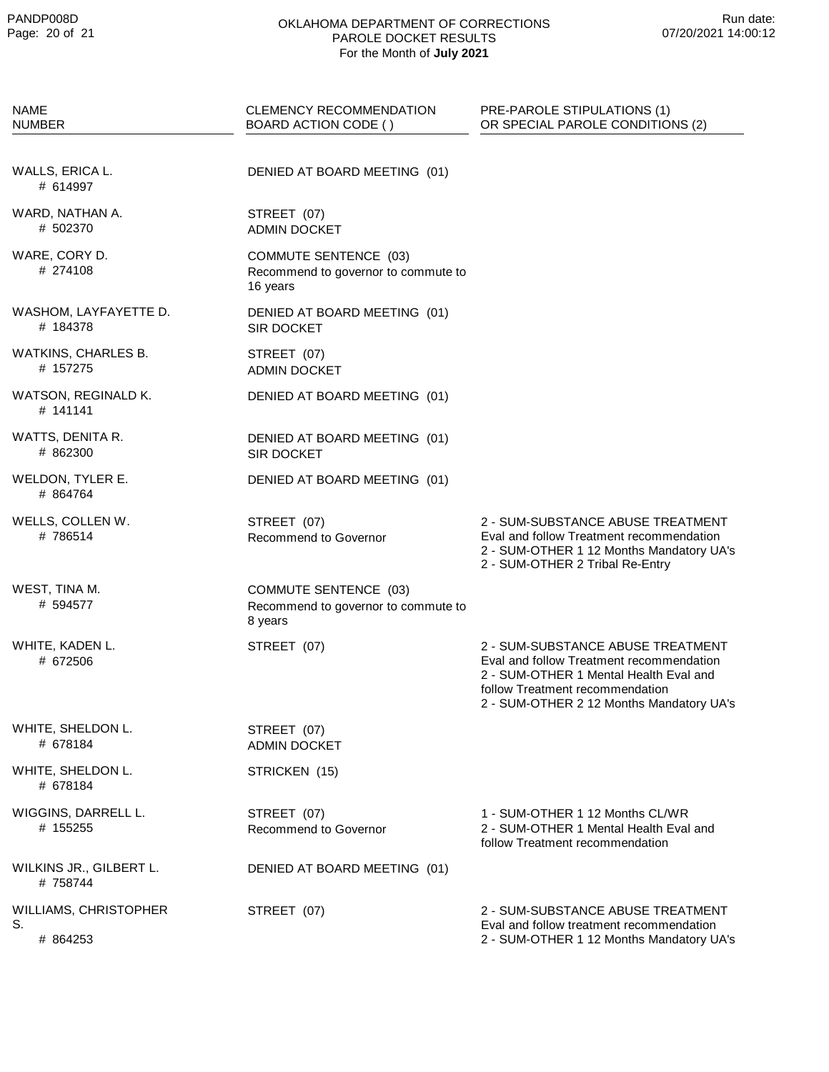| <b>NAME</b><br><b>NUMBER</b>            | <b>CLEMENCY RECOMMENDATION</b><br>BOARD ACTION CODE ()                         | PRE-PAROLE STIPULATIONS (1)<br>OR SPECIAL PAROLE CONDITIONS (2)                                                                                                                                        |
|-----------------------------------------|--------------------------------------------------------------------------------|--------------------------------------------------------------------------------------------------------------------------------------------------------------------------------------------------------|
| WALLS, ERICA L.<br># 614997             | DENIED AT BOARD MEETING (01)                                                   |                                                                                                                                                                                                        |
| WARD, NATHAN A.<br># 502370             | STREET (07)<br><b>ADMIN DOCKET</b>                                             |                                                                                                                                                                                                        |
| WARE, CORY D.<br># 274108               | COMMUTE SENTENCE (03)<br>Recommend to governor to commute to<br>16 years       |                                                                                                                                                                                                        |
| WASHOM, LAYFAYETTE D.<br># 184378       | DENIED AT BOARD MEETING (01)<br>SIR DOCKET                                     |                                                                                                                                                                                                        |
| WATKINS, CHARLES B.<br># 157275         | STREET (07)<br><b>ADMIN DOCKET</b>                                             |                                                                                                                                                                                                        |
| WATSON, REGINALD K.<br># 141141         | DENIED AT BOARD MEETING (01)                                                   |                                                                                                                                                                                                        |
| WATTS, DENITA R.<br># 862300            | DENIED AT BOARD MEETING (01)<br><b>SIR DOCKET</b>                              |                                                                                                                                                                                                        |
| WELDON, TYLER E.<br># 864764            | DENIED AT BOARD MEETING (01)                                                   |                                                                                                                                                                                                        |
| WELLS, COLLEN W.<br># 786514            | STREET (07)<br>Recommend to Governor                                           | 2 - SUM-SUBSTANCE ABUSE TREATMENT<br>Eval and follow Treatment recommendation<br>2 - SUM-OTHER 1 12 Months Mandatory UA's<br>2 - SUM-OTHER 2 Tribal Re-Entry                                           |
| WEST, TINA M.<br># 594577               | <b>COMMUTE SENTENCE (03)</b><br>Recommend to governor to commute to<br>8 years |                                                                                                                                                                                                        |
| WHITE, KADEN L.<br># 672506             | STREET (07)                                                                    | 2 - SUM-SUBSTANCE ABUSE TREATMENT<br>Eval and follow Treatment recommendation<br>2 - SUM-OTHER 1 Mental Health Eval and<br>follow Treatment recommendation<br>2 - SUM-OTHER 2 12 Months Mandatory UA's |
| WHITE, SHELDON L.<br># 678184           | STREET (07)<br><b>ADMIN DOCKET</b>                                             |                                                                                                                                                                                                        |
| WHITE, SHELDON L.<br># 678184           | STRICKEN (15)                                                                  |                                                                                                                                                                                                        |
| WIGGINS, DARRELL L.<br># 155255         | STREET (07)<br>Recommend to Governor                                           | 1 - SUM-OTHER 1 12 Months CL/WR<br>2 - SUM-OTHER 1 Mental Health Eval and<br>follow Treatment recommendation                                                                                           |
| WILKINS JR., GILBERT L.<br># 758744     | DENIED AT BOARD MEETING (01)                                                   |                                                                                                                                                                                                        |
| WILLIAMS, CHRISTOPHER<br>S.<br># 864253 | STREET (07)                                                                    | 2 - SUM-SUBSTANCE ABUSE TREATMENT<br>Eval and follow treatment recommendation<br>2 - SUM-OTHER 1 12 Months Mandatory UA's                                                                              |